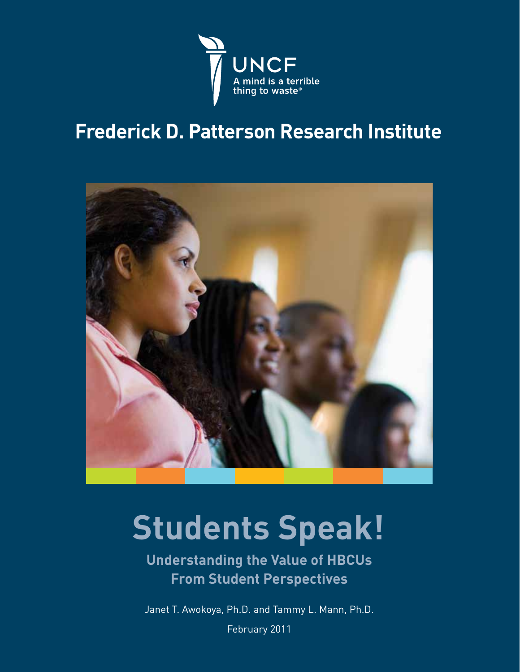

# **Frederick D. Patterson Research Institute**



# **Students Speak!**

**Understanding the Value of HBCUs From Student Perspectives**

Janet T. Awokoya, Ph.D. and Tammy L. Mann, Ph.D.

February 2011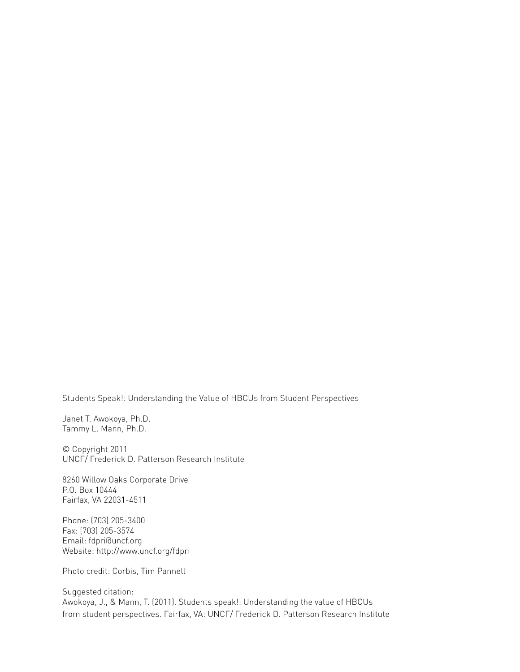Students Speak!: Understanding the Value of HBCUs from Student Perspectives

Janet T. Awokoya, Ph.D. Tammy L. Mann, Ph.D.

© Copyright 2011 UNCF/ Frederick D. Patterson Research Institute

8260 Willow Oaks Corporate Drive P.O. Box 10444 Fairfax, VA 22031-4511

Phone: (703) 205-3400 Fax: (703) 205-3574 Email: fdpri@uncf.org Website: http://www.uncf.org/fdpri

Photo credit: Corbis, Tim Pannell

Suggested citation: Awokoya, J., & Mann, T. (2011). Students speak!: Understanding the value of HBCUs from student perspectives. Fairfax, VA: UNCF/ Frederick D. Patterson Research Institute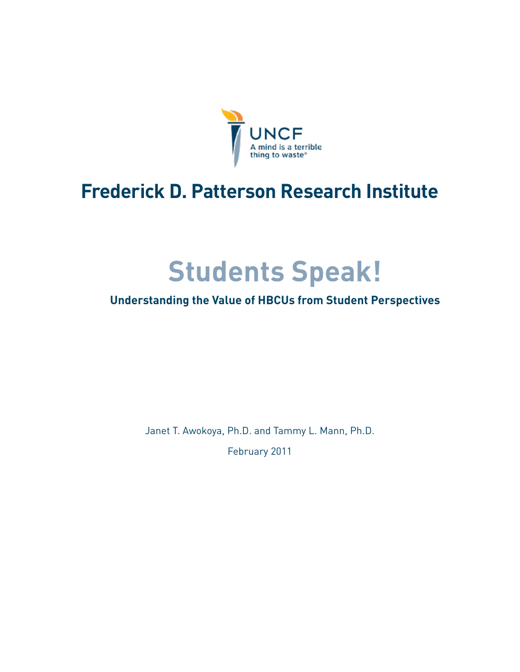

# **Frederick D. Patterson Research Institute**

# **Students Speak!**

# **Understanding the Value of HBCUs from Student Perspectives**

Janet T. Awokoya, Ph.D. and Tammy L. Mann, Ph.D.

February 2011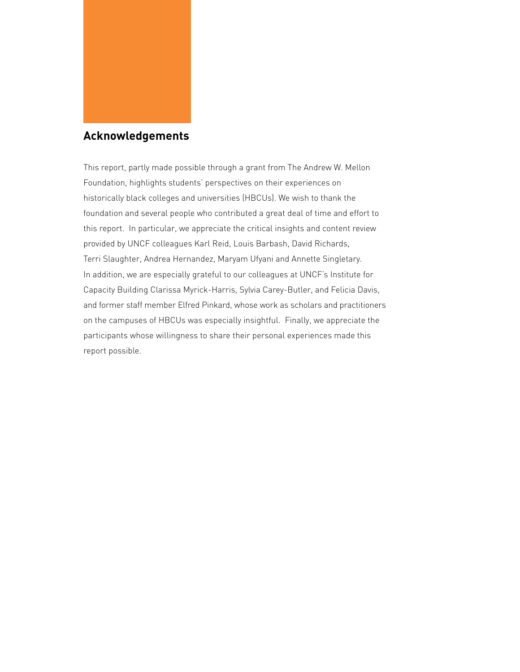

# **Acknowledgements**

This report, partly made possible through a grant from The Andrew W. Mellon Foundation, highlights students' perspectives on their experiences on historically black colleges and universities (HBCUs). We wish to thank the foundation and several people who contributed a great deal of time and effort to this report. In particular, we appreciate the critical insights and content review provided by UNCF colleagues Karl Reid, Louis Barbash, David Richards, Terri Slaughter, Andrea Hernandez, Maryam Ufyani and Annette Singletary. In addition, we are especially grateful to our colleagues at UNCF's Institute for Capacity Building Clarissa Myrick-Harris, Sylvia Carey-Butler, and Felicia Davis, and former staff member Elfred Pinkard, whose work as scholars and practitioners on the campuses of HBCUs was especially insightful. Finally, we appreciate the participants whose willingness to share their personal experiences made this report possible.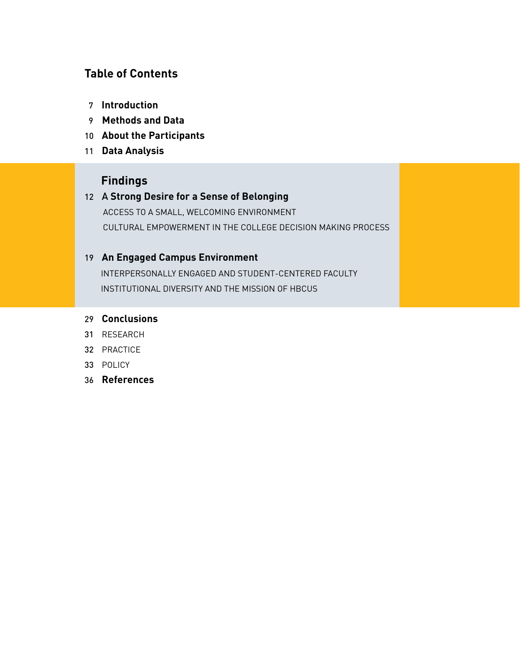# **Table of Contents**

- 7 **Introduction**
- 9 **Methods and Data**
- 10 **About the Participants**
- 11 **Data Analysis**

# **Findings**

## 12 A **Strong Desire for a Sense of Belonging**

 Access to a Small, Welcoming Environment Cultural Empowerment in the College Decision Making Process

# 19 **An Engaged Campus Environment**

 Interpersonally Engaged and Student-Centered Faculty Institutional Diversity and the Mission of HBCUs

# 29 **Conclusions**

- 31 Research
- 32 Practice
- 33 Policy
- 36 **References**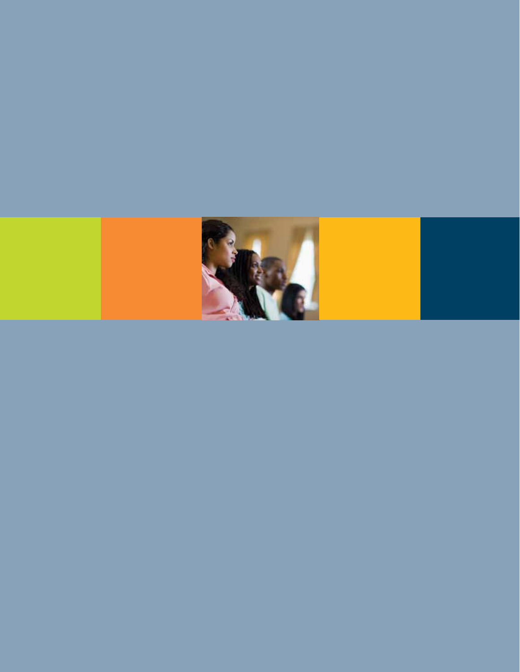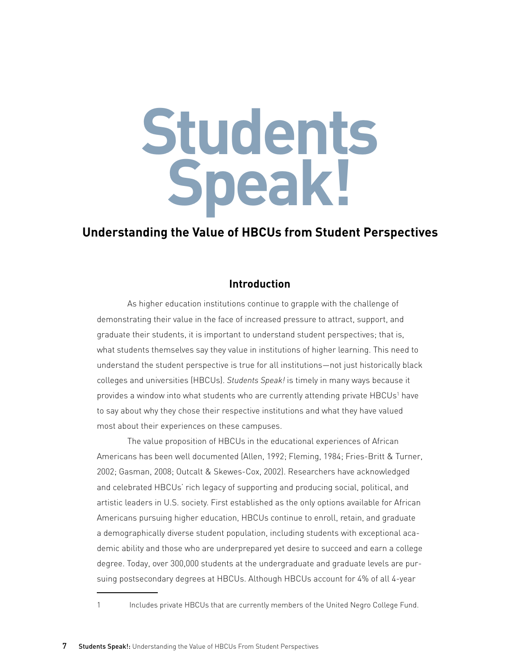# **Students Speak!**

# **Understanding the Value of HBCUs from Student Perspectives**

# **Introduction**

As higher education institutions continue to grapple with the challenge of demonstrating their value in the face of increased pressure to attract, support, and graduate their students, it is important to understand student perspectives; that is, what students themselves say they value in institutions of higher learning. This need to understand the student perspective is true for all institutions—not just historically black colleges and universities (HBCUs). *Students Speak!* is timely in many ways because it provides a window into what students who are currently attending private HBCUs1 have to say about why they chose their respective institutions and what they have valued most about their experiences on these campuses.

The value proposition of HBCUs in the educational experiences of African Americans has been well documented (Allen, 1992; Fleming, 1984; Fries-Britt & Turner, 2002; Gasman, 2008; Outcalt & Skewes-Cox, 2002). Researchers have acknowledged and celebrated HBCUs' rich legacy of supporting and producing social, political, and artistic leaders in U.S. society. First established as the only options available for African Americans pursuing higher education, HBCUs continue to enroll, retain, and graduate a demographically diverse student population, including students with exceptional academic ability and those who are underprepared yet desire to succeed and earn a college degree. Today, over 300,000 students at the undergraduate and graduate levels are pursuing postsecondary degrees at HBCUs. Although HBCUs account for 4% of all 4-year

<sup>1</sup> Includes private HBCUs that are currently members of the United Negro College Fund.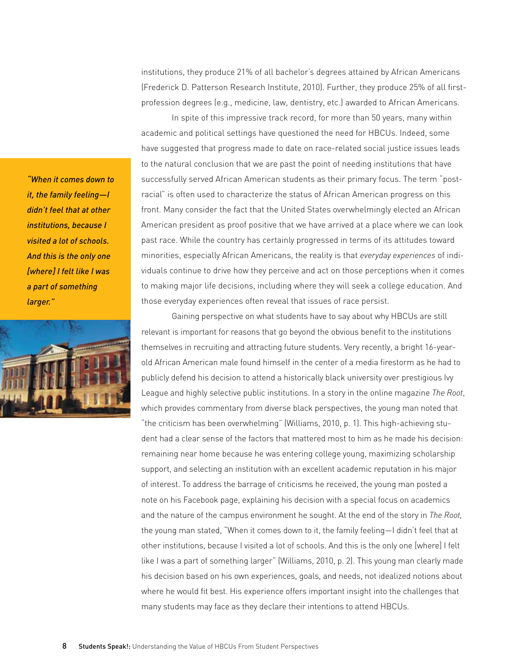institutions, they produce 21% of all bachelor's degrees attained by African Americans (Frederick D. Patterson Research Institute, 2010). Further, they produce 25% of all firstprofession degrees (e.g., medicine, law, dentistry, etc.) awarded to African Americans.

In spite of this impressive track record, for more than 50 years, many within academic and political settings have questioned the need for HBCUs. Indeed, some have suggested that progress made to date on race-related social justice issues leads to the natural conclusion that we are past the point of needing institutions that have successfully served African American students as their primary focus. The term "postracial" is often used to characterize the status of African American progress on this front. Many consider the fact that the United States overwhelmingly elected an African American president as proof positive that we have arrived at a place where we can look past race. While the country has certainly progressed in terms of its attitudes toward minorities, especially African Americans, the reality is that *everyday experiences* of individuals continue to drive how they perceive and act on those perceptions when it comes to making major life decisions, including where they will seek a college education. And those everyday experiences often reveal that issues of race persist.

Gaining perspective on what students have to say about why HBCUs are still relevant is important for reasons that go beyond the obvious benefit to the institutions themselves in recruiting and attracting future students. Very recently, a bright 16-yearold African American male found himself in the center of a media firestorm as he had to publicly defend his decision to attend a historically black university over prestigious Ivy League and highly selective public institutions. In a story in the online magazine *The Root*, which provides commentary from diverse black perspectives, the young man noted that "the criticism has been overwhelming" (Williams, 2010, p. 1). This high-achieving student had a clear sense of the factors that mattered most to him as he made his decision: remaining near home because he was entering college young, maximizing scholarship support, and selecting an institution with an excellent academic reputation in his major of interest. To address the barrage of criticisms he received, the young man posted a note on his Facebook page, explaining his decision with a special focus on academics and the nature of the campus environment he sought. At the end of the story in *The Root,* the young man stated, "When it comes down to it, the family feeling—I didn't feel that at other institutions, because I visited a lot of schools. And this is the only one [where] I felt like I was a part of something larger" (Williams, 2010, p. 2). This young man clearly made his decision based on his own experiences, goals, and needs, not idealized notions about where he would fit best. His experience offers important insight into the challenges that many students may face as they declare their intentions to attend HBCUs.

*"When it comes down to it, the family feeling—I didn't feel that at other institutions, because I visited a lot of schools. And this is the only one [where] I felt like I was a part of something larger."*

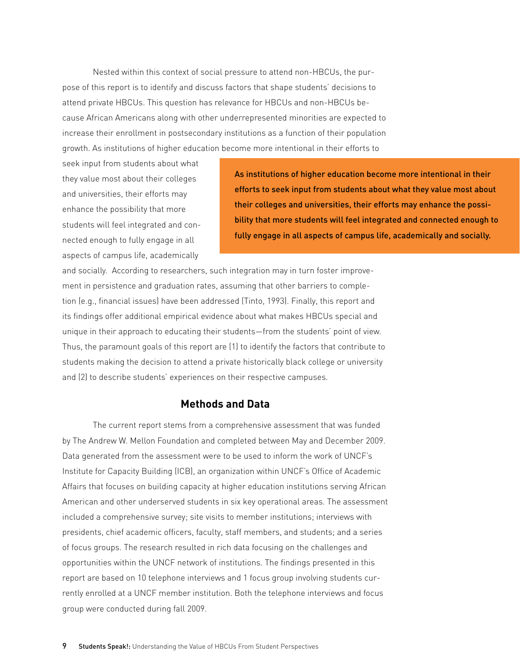Nested within this context of social pressure to attend non-HBCUs, the purpose of this report is to identify and discuss factors that shape students' decisions to attend private HBCUs. This question has relevance for HBCUs and non-HBCUs because African Americans along with other underrepresented minorities are expected to increase their enrollment in postsecondary institutions as a function of their population growth. As institutions of higher education become more intentional in their efforts to

seek input from students about what they value most about their colleges and universities, their efforts may enhance the possibility that more students will feel integrated and connected enough to fully engage in all aspects of campus life, academically

As institutions of higher education become more intentional in their efforts to seek input from students about what they value most about their colleges and universities, their efforts may enhance the possibility that more students will feel integrated and connected enough to fully engage in all aspects of campus life, academically and socially.

and socially. According to researchers, such integration may in turn foster improvement in persistence and graduation rates, assuming that other barriers to completion (e.g., financial issues) have been addressed (Tinto, 1993). Finally, this report and its findings offer additional empirical evidence about what makes HBCUs special and unique in their approach to educating their students—from the students' point of view. Thus, the paramount goals of this report are (1) to identify the factors that contribute to students making the decision to attend a private historically black college or university and (2) to describe students' experiences on their respective campuses.

# **Methods and Data**

The current report stems from a comprehensive assessment that was funded by The Andrew W. Mellon Foundation and completed between May and December 2009. Data generated from the assessment were to be used to inform the work of UNCF's Institute for Capacity Building (ICB), an organization within UNCF's Office of Academic Affairs that focuses on building capacity at higher education institutions serving African American and other underserved students in six key operational areas. The assessment included a comprehensive survey; site visits to member institutions; interviews with presidents, chief academic officers, faculty, staff members, and students; and a series of focus groups. The research resulted in rich data focusing on the challenges and opportunities within the UNCF network of institutions. The findings presented in this report are based on 10 telephone interviews and 1 focus group involving students currently enrolled at a UNCF member institution. Both the telephone interviews and focus group were conducted during fall 2009.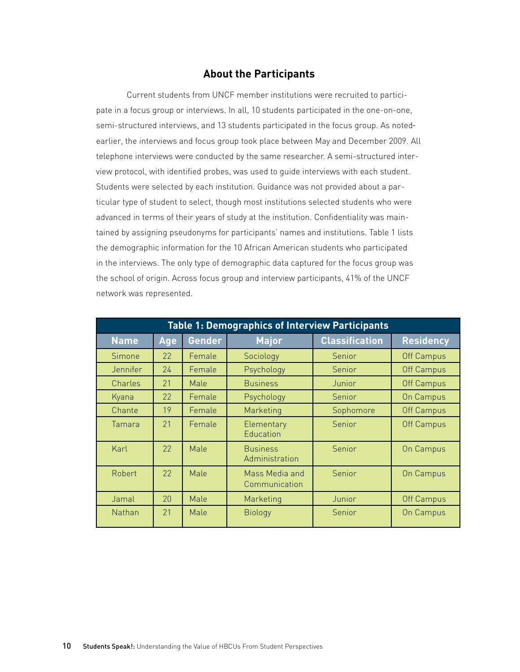## **About the Participants**

Current students from UNCF member institutions were recruited to participate in a focus group or interviews. In all, 10 students participated in the one-on-one, semi-structured interviews, and 13 students participated in the focus group. As noted earlier, the interviews and focus group took place between May and December 2009. All telephone interviews were conducted by the same researcher. A semi-structured interview protocol, with identified probes, was used to guide interviews with each student. Students were selected by each institution. Guidance was not provided about a particular type of student to select, though most institutions selected students who were advanced in terms of their years of study at the institution. Confidentiality was maintained by assigning pseudonyms for participants' names and institutions. Table 1 lists the demographic information for the 10 African American students who participated in the interviews. The only type of demographic data captured for the focus group was the school of origin. Across focus group and interview participants, 41% of the UNCF network was represented.

| <b>Table 1: Demographics of Interview Participants</b> |     |        |                                   |                       |                  |
|--------------------------------------------------------|-----|--------|-----------------------------------|-----------------------|------------------|
| <b>Name</b>                                            | Age | Gender | <b>Major</b>                      | <b>Classification</b> | <b>Residency</b> |
| Simone                                                 | 22  | Female | Sociology                         | <b>Senior</b>         | Off Campus       |
| Jennifer                                               | 24  | Female | Psychology                        | <b>Senior</b>         | Off Campus       |
| Charles                                                | 21  | Male   | <b>Business</b>                   | Junior                | Off Campus       |
| Kyana                                                  | 22  | Female | Psychology                        | <b>Senior</b>         | <b>On Campus</b> |
| Chante                                                 | 19  | Female | Marketing                         | Sophomore             | Off Campus       |
| Tamara                                                 | 21  | Female | Elementary<br>Education           | <b>Senior</b>         | Off Campus       |
| Karl                                                   | 22  | Male   | <b>Business</b><br>Administration | <b>Senior</b>         | On Campus        |
| Robert                                                 | 22  | Male   | Mass Media and<br>Communication   | Senior                | <b>On Campus</b> |
| Jamal                                                  | 20  | Male   | Marketing                         | Junior                | Off Campus       |
| Nathan                                                 | 21  | Male   | <b>Biology</b>                    | Senior                | On Campus        |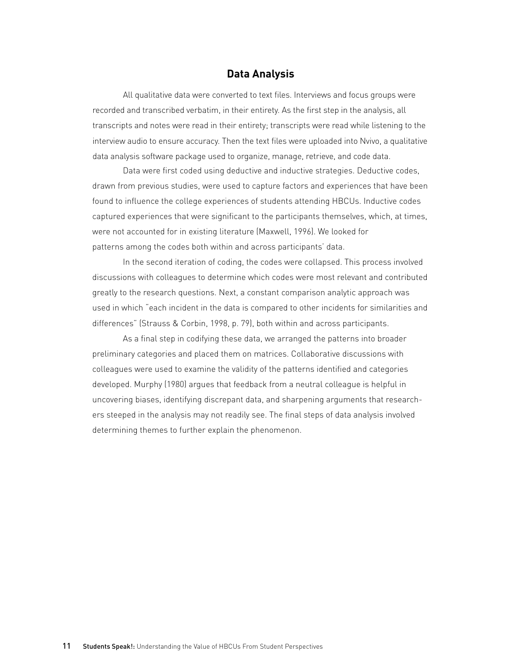## **Data Analysis**

All qualitative data were converted to text files. Interviews and focus groups were recorded and transcribed verbatim, in their entirety. As the first step in the analysis, all transcripts and notes were read in their entirety; transcripts were read while listening to the interview audio to ensure accuracy. Then the text files were uploaded into Nvivo, a qualitative data analysis software package used to organize, manage, retrieve, and code data.

Data were first coded using deductive and inductive strategies. Deductive codes, drawn from previous studies, were used to capture factors and experiences that have been found to influence the college experiences of students attending HBCUs. Inductive codes captured experiences that were significant to the participants themselves, which, at times, were not accounted for in existing literature (Maxwell, 1996). We looked for patterns among the codes both within and across participants' data.

In the second iteration of coding, the codes were collapsed. This process involved discussions with colleagues to determine which codes were most relevant and contributed greatly to the research questions. Next, a constant comparison analytic approach was used in which "each incident in the data is compared to other incidents for similarities and differences" (Strauss & Corbin, 1998, p. 79), both within and across participants.

As a final step in codifying these data, we arranged the patterns into broader preliminary categories and placed them on matrices. Collaborative discussions with colleagues were used to examine the validity of the patterns identified and categories developed. Murphy (1980) argues that feedback from a neutral colleague is helpful in uncovering biases, identifying discrepant data, and sharpening arguments that researchers steeped in the analysis may not readily see. The final steps of data analysis involved determining themes to further explain the phenomenon.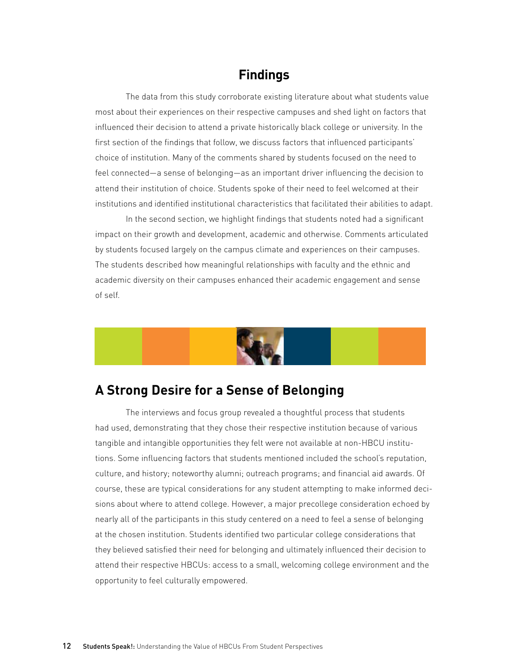# **Findings**

The data from this study corroborate existing literature about what students value most about their experiences on their respective campuses and shed light on factors that influenced their decision to attend a private historically black college or university. In the first section of the findings that follow, we discuss factors that influenced participants' choice of institution. Many of the comments shared by students focused on the need to feel connected—a sense of belonging—as an important driver influencing the decision to attend their institution of choice. Students spoke of their need to feel welcomed at their institutions and identified institutional characteristics that facilitated their abilities to adapt.

In the second section, we highlight findings that students noted had a significant impact on their growth and development, academic and otherwise. Comments articulated by students focused largely on the campus climate and experiences on their campuses. The students described how meaningful relationships with faculty and the ethnic and academic diversity on their campuses enhanced their academic engagement and sense of self.



# **A Strong Desire for a Sense of Belonging**

The interviews and focus group revealed a thoughtful process that students had used, demonstrating that they chose their respective institution because of various tangible and intangible opportunities they felt were not available at non-HBCU institutions. Some influencing factors that students mentioned included the school's reputation, culture, and history; noteworthy alumni; outreach programs; and financial aid awards. Of course, these are typical considerations for any student attempting to make informed decisions about where to attend college. However, a major precollege consideration echoed by nearly all of the participants in this study centered on a need to feel a sense of belonging at the chosen institution. Students identified two particular college considerations that they believed satisfied their need for belonging and ultimately influenced their decision to attend their respective HBCUs: access to a small, welcoming college environment and the opportunity to feel culturally empowered.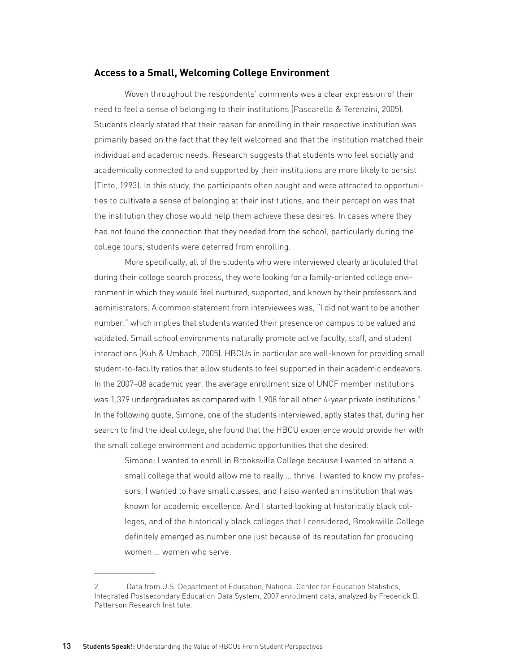#### **Access to a Small, Welcoming College Environment**

Woven throughout the respondents' comments was a clear expression of their need to feel a sense of belonging to their institutions (Pascarella & Terenzini, 2005). Students clearly stated that their reason for enrolling in their respective institution was primarily based on the fact that they felt welcomed and that the institution matched their individual and academic needs. Research suggests that students who feel socially and academically connected to and supported by their institutions are more likely to persist (Tinto, 1993). In this study, the participants often sought and were attracted to opportunities to cultivate a sense of belonging at their institutions, and their perception was that the institution they chose would help them achieve these desires. In cases where they had not found the connection that they needed from the school, particularly during the college tours, students were deterred from enrolling.

More specifically, all of the students who were interviewed clearly articulated that during their college search process, they were looking for a family-oriented college environment in which they would feel nurtured, supported, and known by their professors and administrators. A common statement from interviewees was, "I did not want to be another number," which implies that students wanted their presence on campus to be valued and validated. Small school environments naturally promote active faculty, staff, and student interactions (Kuh & Umbach, 2005). HBCUs in particular are well-known for providing small student-to-faculty ratios that allow students to feel supported in their academic endeavors. In the 2007–08 academic year, the average enrollment size of UNCF member institutions was 1,379 undergraduates as compared with 1,908 for all other 4-year private institutions.<sup>2</sup> In the following quote, Simone, one of the students interviewed, aptly states that, during her search to find the ideal college, she found that the HBCU experience would provide her with the small college environment and academic opportunities that she desired:

Simone: I wanted to enroll in Brooksville College because I wanted to attend a small college that would allow me to really … thrive. I wanted to know my professors, I wanted to have small classes, and I also wanted an institution that was known for academic excellence. And I started looking at historically black colleges, and of the historically black colleges that I considered, Brooksville College definitely emerged as number one just because of its reputation for producing women … women who serve.

Data from U.S. Department of Education, National Center for Education Statistics, Integrated Postsecondary Education Data System, 2007 enrollment data, analyzed by Frederick D. Patterson Research Institute.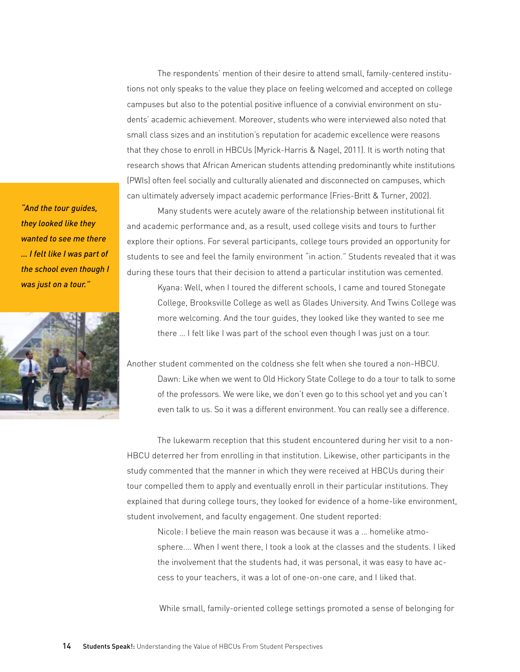The respondents' mention of their desire to attend small, family-centered institutions not only speaks to the value they place on feeling welcomed and accepted on college campuses but also to the potential positive influence of a convivial environment on students' academic achievement. Moreover, students who were interviewed also noted that small class sizes and an institution's reputation for academic excellence were reasons that they chose to enroll in HBCUs (Myrick-Harris & Nagel, 2011). It is worth noting that research shows that African American students attending predominantly white institutions (PWIs) often feel socially and culturally alienated and disconnected on campuses, which can ultimately adversely impact academic performance (Fries-Britt & Turner, 2002).

Many students were acutely aware of the relationship between institutional fit and academic performance and, as a result, used college visits and tours to further explore their options. For several participants, college tours provided an opportunity for students to see and feel the family environment "in action." Students revealed that it was during these tours that their decision to attend a particular institution was cemented.

Kyana: Well, when I toured the different schools, I came and toured Stonegate College, Brooksville College as well as Glades University. And Twins College was more welcoming. And the tour guides, they looked like they wanted to see me there … I felt like I was part of the school even though I was just on a tour.

Another student commented on the coldness she felt when she toured a non-HBCU. Dawn: Like when we went to Old Hickory State College to do a tour to talk to some of the professors. We were like, we don't even go to this school yet and you can't even talk to us. So it was a different environment. You can really see a difference.

 The lukewarm reception that this student encountered during her visit to a non-HBCU deterred her from enrolling in that institution. Likewise, other participants in the study commented that the manner in which they were received at HBCUs during their tour compelled them to apply and eventually enroll in their particular institutions. They explained that during college tours, they looked for evidence of a home-like environment, student involvement, and faculty engagement. One student reported:

Nicole: I believe the main reason was because it was a … homelike atmosphere.… When I went there, I took a look at the classes and the students. I liked the involvement that the students had, it was personal, it was easy to have access to your teachers, it was a lot of one-on-one care, and I liked that.

While small, family-oriented college settings promoted a sense of belonging for

*"And the tour guides, they looked like they wanted to see me there … I felt like I was part of the school even though I was just on a tour."*

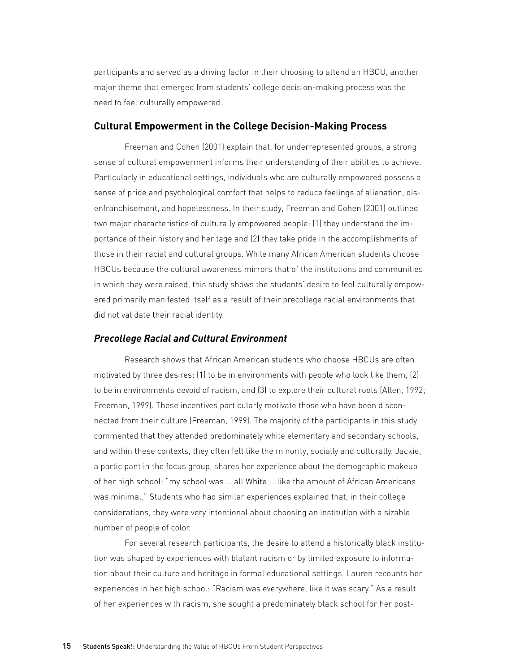participants and served as a driving factor in their choosing to attend an HBCU, another major theme that emerged from students' college decision-making process was the need to feel culturally empowered.

#### **Cultural Empowerment in the College Decision-Making Process**

Freeman and Cohen (2001) explain that, for underrepresented groups, a strong sense of cultural empowerment informs their understanding of their abilities to achieve. Particularly in educational settings, individuals who are culturally empowered possess a sense of pride and psychological comfort that helps to reduce feelings of alienation, disenfranchisement, and hopelessness. In their study, Freeman and Cohen (2001) outlined two major characteristics of culturally empowered people: (1) they understand the importance of their history and heritage and (2) they take pride in the accomplishments of those in their racial and cultural groups. While many African American students choose HBCUs because the cultural awareness mirrors that of the institutions and communities in which they were raised, this study shows the students' desire to feel culturally empowered primarily manifested itself as a result of their precollege racial environments that did not validate their racial identity.

### *Precollege Racial and Cultural Environment*

Research shows that African American students who choose HBCUs are often motivated by three desires: (1) to be in environments with people who look like them, (2) to be in environments devoid of racism, and (3) to explore their cultural roots (Allen, 1992; Freeman, 1999). These incentives particularly motivate those who have been disconnected from their culture (Freeman, 1999). The majority of the participants in this study commented that they attended predominately white elementary and secondary schools, and within these contexts, they often felt like the minority, socially and culturally. Jackie, a participant in the focus group, shares her experience about the demographic makeup of her high school: "my school was … all White … like the amount of African Americans was minimal." Students who had similar experiences explained that, in their college considerations, they were very intentional about choosing an institution with a sizable number of people of color.

For several research participants, the desire to attend a historically black institution was shaped by experiences with blatant racism or by limited exposure to information about their culture and heritage in formal educational settings. Lauren recounts her experiences in her high school: "Racism was everywhere, like it was scary." As a result of her experiences with racism, she sought a predominately black school for her post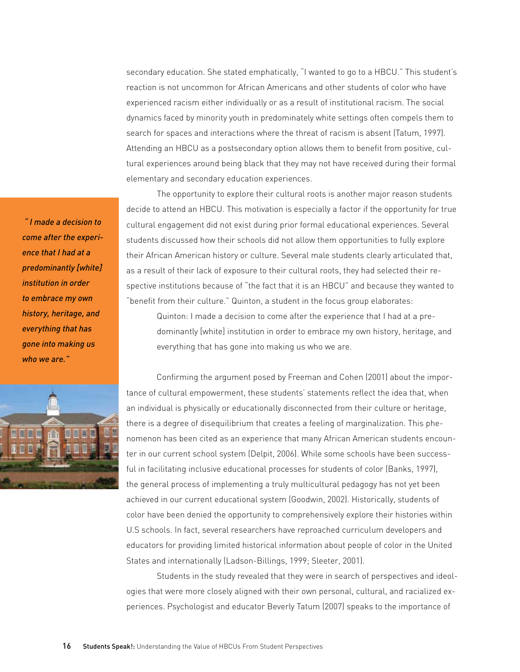secondary education. She stated emphatically, "I wanted to go to a HBCU." This student's reaction is not uncommon for African Americans and other students of color who have experienced racism either individually or as a result of institutional racism. The social dynamics faced by minority youth in predominately white settings often compels them to search for spaces and interactions where the threat of racism is absent (Tatum, 1997). Attending an HBCU as a postsecondary option allows them to benefit from positive, cultural experiences around being black that they may not have received during their formal elementary and secondary education experiences.

The opportunity to explore their cultural roots is another major reason students decide to attend an HBCU. This motivation is especially a factor if the opportunity for true cultural engagement did not exist during prior formal educational experiences. Several students discussed how their schools did not allow them opportunities to fully explore their African American history or culture. Several male students clearly articulated that, as a result of their lack of exposure to their cultural roots, they had selected their respective institutions because of "the fact that it is an HBCU" and because they wanted to "benefit from their culture." Quinton, a student in the focus group elaborates:

Quinton: I made a decision to come after the experience that I had at a predominantly [white] institution in order to embrace my own history, heritage, and everything that has gone into making us who we are.



*who we are."*

 *" I made a decision to come after the experience that I had at a predominantly [white] institution in order to embrace my own history, heritage, and everything that has gone into making us* 

> Confirming the argument posed by Freeman and Cohen (2001) about the importance of cultural empowerment, these students' statements reflect the idea that, when an individual is physically or educationally disconnected from their culture or heritage, there is a degree of disequilibrium that creates a feeling of marginalization. This phenomenon has been cited as an experience that many African American students encounter in our current school system (Delpit, 2006). While some schools have been successful in facilitating inclusive educational processes for students of color (Banks, 1997), the general process of implementing a truly multicultural pedagogy has not yet been achieved in our current educational system (Goodwin, 2002). Historically, students of color have been denied the opportunity to comprehensively explore their histories within U.S schools. In fact, several researchers have reproached curriculum developers and educators for providing limited historical information about people of color in the United States and internationally (Ladson-Billings, 1999; Sleeter, 2001).

> Students in the study revealed that they were in search of perspectives and ideologies that were more closely aligned with their own personal, cultural, and racialized experiences. Psychologist and educator Beverly Tatum (2007) speaks to the importance of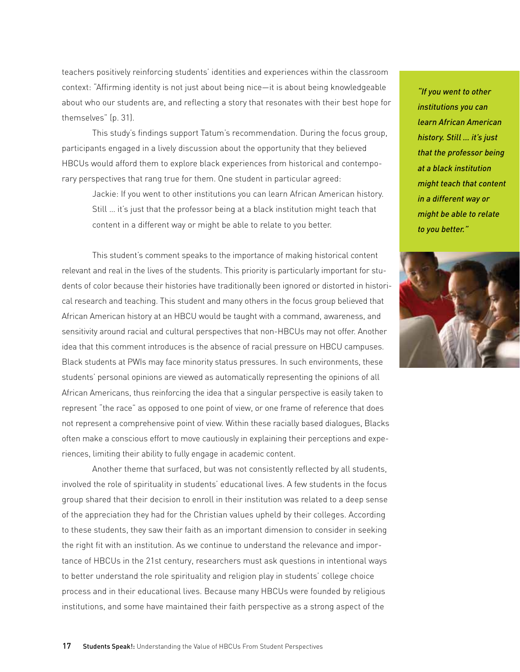teachers positively reinforcing students' identities and experiences within the classroom context: "Affirming identity is not just about being nice—it is about being knowledgeable about who our students are, and reflecting a story that resonates with their best hope for themselves" (p. 31).

This study's findings support Tatum's recommendation. During the focus group, participants engaged in a lively discussion about the opportunity that they believed HBCUs would afford them to explore black experiences from historical and contemporary perspectives that rang true for them. One student in particular agreed:

Jackie: If you went to other institutions you can learn African American history. Still … it's just that the professor being at a black institution might teach that content in a different way or might be able to relate to you better.

This student's comment speaks to the importance of making historical content relevant and real in the lives of the students. This priority is particularly important for students of color because their histories have traditionally been ignored or distorted in historical research and teaching. This student and many others in the focus group believed that African American history at an HBCU would be taught with a command, awareness, and sensitivity around racial and cultural perspectives that non-HBCUs may not offer. Another idea that this comment introduces is the absence of racial pressure on HBCU campuses. Black students at PWIs may face minority status pressures. In such environments, these students' personal opinions are viewed as automatically representing the opinions of all African Americans, thus reinforcing the idea that a singular perspective is easily taken to represent "the race" as opposed to one point of view, or one frame of reference that does not represent a comprehensive point of view. Within these racially based dialogues, Blacks often make a conscious effort to move cautiously in explaining their perceptions and experiences, limiting their ability to fully engage in academic content.

Another theme that surfaced, but was not consistently reflected by all students, involved the role of spirituality in students' educational lives. A few students in the focus group shared that their decision to enroll in their institution was related to a deep sense of the appreciation they had for the Christian values upheld by their colleges. According to these students, they saw their faith as an important dimension to consider in seeking the right fit with an institution. As we continue to understand the relevance and importance of HBCUs in the 21st century, researchers must ask questions in intentional ways to better understand the role spirituality and religion play in students' college choice process and in their educational lives. Because many HBCUs were founded by religious institutions, and some have maintained their faith perspective as a strong aspect of the

*"If you went to other institutions you can learn African American history. Still … it's just that the professor being at a black institution might teach that content in a different way or might be able to relate to you better."*

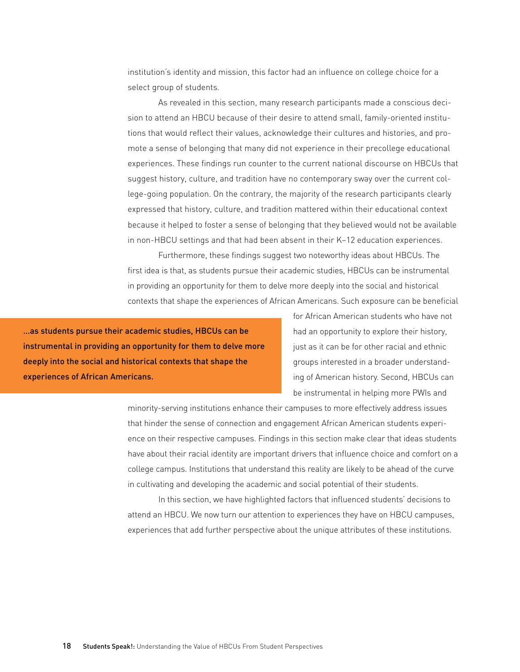institution's identity and mission, this factor had an influence on college choice for a select group of students.

As revealed in this section, many research participants made a conscious decision to attend an HBCU because of their desire to attend small, family-oriented institutions that would reflect their values, acknowledge their cultures and histories, and promote a sense of belonging that many did not experience in their precollege educational experiences. These findings run counter to the current national discourse on HBCUs that suggest history, culture, and tradition have no contemporary sway over the current college-going population. On the contrary, the majority of the research participants clearly expressed that history, culture, and tradition mattered within their educational context because it helped to foster a sense of belonging that they believed would not be available in non-HBCU settings and that had been absent in their K–12 education experiences.

Furthermore, these findings suggest two noteworthy ideas about HBCUs. The first idea is that, as students pursue their academic studies, HBCUs can be instrumental in providing an opportunity for them to delve more deeply into the social and historical contexts that shape the experiences of African Americans. Such exposure can be beneficial

…as students pursue their academic studies, HBCUs can be instrumental in providing an opportunity for them to delve more deeply into the social and historical contexts that shape the experiences of African Americans.

for African American students who have not had an opportunity to explore their history, just as it can be for other racial and ethnic groups interested in a broader understanding of American history. Second, HBCUs can be instrumental in helping more PWIs and

minority-serving institutions enhance their campuses to more effectively address issues that hinder the sense of connection and engagement African American students experience on their respective campuses. Findings in this section make clear that ideas students have about their racial identity are important drivers that influence choice and comfort on a college campus. Institutions that understand this reality are likely to be ahead of the curve in cultivating and developing the academic and social potential of their students.

In this section, we have highlighted factors that influenced students' decisions to attend an HBCU. We now turn our attention to experiences they have on HBCU campuses, experiences that add further perspective about the unique attributes of these institutions.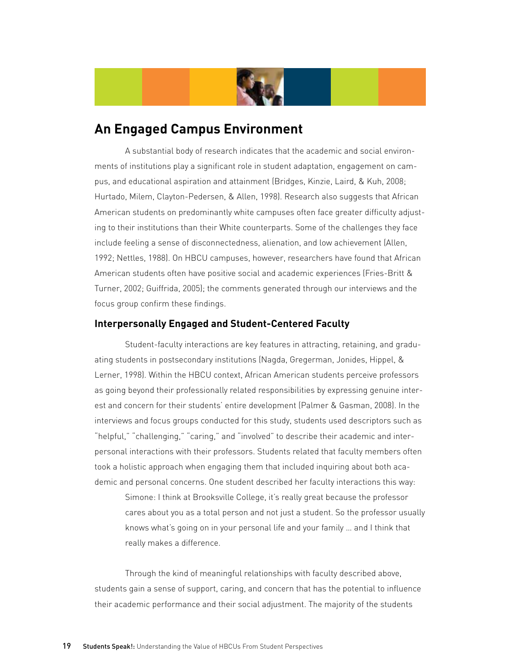

# **An Engaged Campus Environment**

A substantial body of research indicates that the academic and social environments of institutions play a significant role in student adaptation, engagement on campus, and educational aspiration and attainment (Bridges, Kinzie, Laird, & Kuh, 2008; Hurtado, Milem, Clayton-Pedersen, & Allen, 1998). Research also suggests that African American students on predominantly white campuses often face greater difficulty adjusting to their institutions than their White counterparts. Some of the challenges they face include feeling a sense of disconnectedness, alienation, and low achievement (Allen, 1992; Nettles, 1988). On HBCU campuses, however, researchers have found that African American students often have positive social and academic experiences (Fries-Britt & Turner, 2002; Guiffrida, 2005); the comments generated through our interviews and the focus group confirm these findings.

#### **Interpersonally Engaged and Student-Centered Faculty**

Student-faculty interactions are key features in attracting, retaining, and graduating students in postsecondary institutions (Nagda, Gregerman, Jonides, Hippel, & Lerner, 1998). Within the HBCU context, African American students perceive professors as going beyond their professionally related responsibilities by expressing genuine interest and concern for their students' entire development (Palmer & Gasman, 2008). In the interviews and focus groups conducted for this study, students used descriptors such as "helpful," "challenging," "caring," and "involved" to describe their academic and interpersonal interactions with their professors. Students related that faculty members often took a holistic approach when engaging them that included inquiring about both academic and personal concerns. One student described her faculty interactions this way:

Simone: I think at Brooksville College, it's really great because the professor cares about you as a total person and not just a student. So the professor usually knows what's going on in your personal life and your family … and I think that really makes a difference.

Through the kind of meaningful relationships with faculty described above, students gain a sense of support, caring, and concern that has the potential to influence their academic performance and their social adjustment. The majority of the students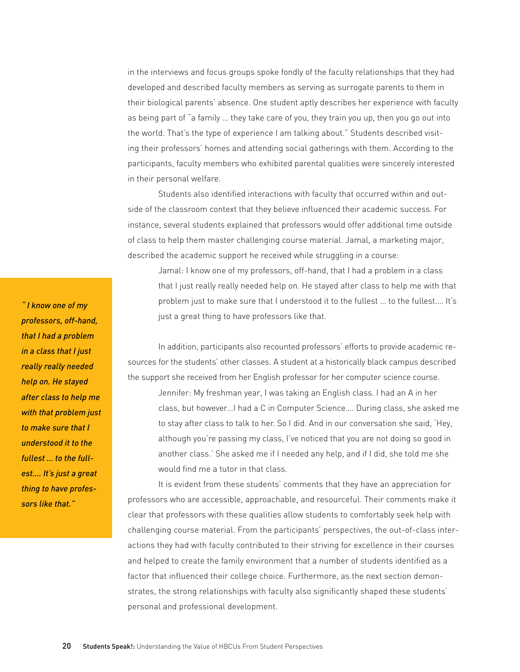in the interviews and focus groups spoke fondly of the faculty relationships that they had developed and described faculty members as serving as surrogate parents to them in their biological parents' absence. One student aptly describes her experience with faculty as being part of "a family … they take care of you, they train you up, then you go out into the world. That's the type of experience I am talking about." Students described visiting their professors' homes and attending social gatherings with them. According to the participants, faculty members who exhibited parental qualities were sincerely interested in their personal welfare.

Students also identified interactions with faculty that occurred within and outside of the classroom context that they believe influenced their academic success. For instance, several students explained that professors would offer additional time outside of class to help them master challenging course material. Jamal, a marketing major, described the academic support he received while struggling in a course:

Jamal: I know one of my professors, off-hand, that I had a problem in a class that I just really really needed help on. He stayed after class to help me with that problem just to make sure that I understood it to the fullest … to the fullest.… It's just a great thing to have professors like that.

In addition, participants also recounted professors' efforts to provide academic resources for the students' other classes. A student at a historically black campus described the support she received from her English professor for her computer science course. Jennifer: My freshman year, I was taking an English class. I had an A in her class, but however…I had a C in Computer Science…. During class, she asked me to stay after class to talk to her. So I did. And in our conversation she said, 'Hey, although you're passing my class, I've noticed that you are not doing so good in another class.' She asked me if I needed any help, and if I did, she told me she would find me a tutor in that class.

It is evident from these students' comments that they have an appreciation for professors who are accessible, approachable, and resourceful. Their comments make it clear that professors with these qualities allow students to comfortably seek help with challenging course material. From the participants' perspectives, the out-of-class interactions they had with faculty contributed to their striving for excellence in their courses and helped to create the family environment that a number of students identified as a factor that influenced their college choice. Furthermore, as the next section demonstrates, the strong relationships with faculty also significantly shaped these students' personal and professional development.

*" I know one of my professors, off-hand, that I had a problem in a class that I just really really needed help on. He stayed after class to help me with that problem just to make sure that I understood it to the fullest … to the fullest.… It's just a great thing to have professors like that."*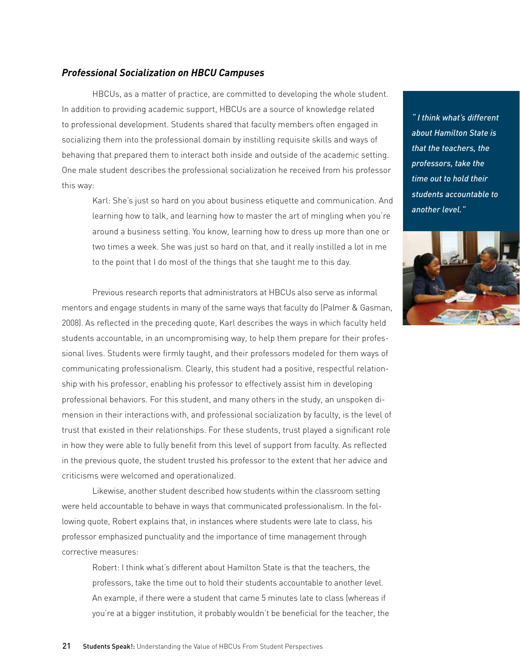### *Professional Socialization on HBCU Campuses*

HBCUs, as a matter of practice, are committed to developing the whole student. In addition to providing academic support, HBCUs are a source of knowledge related to professional development. Students shared that faculty members often engaged in socializing them into the professional domain by instilling requisite skills and ways of behaving that prepared them to interact both inside and outside of the academic setting. One male student describes the professional socialization he received from his professor this way:

Karl: She's just so hard on you about business etiquette and communication. And learning how to talk, and learning how to master the art of mingling when you're around a business setting. You know, learning how to dress up more than one or two times a week. She was just so hard on that, and it really instilled a lot in me to the point that I do most of the things that she taught me to this day.

Previous research reports that administrators at HBCUs also serve as informal mentors and engage students in many of the same ways that faculty do (Palmer & Gasman, 2008). As reflected in the preceding quote, Karl describes the ways in which faculty held students accountable, in an uncompromising way, to help them prepare for their professional lives. Students were firmly taught, and their professors modeled for them ways of communicating professionalism. Clearly, this student had a positive, respectful relationship with his professor, enabling his professor to effectively assist him in developing professional behaviors. For this student, and many others in the study, an unspoken dimension in their interactions with, and professional socialization by faculty, is the level of trust that existed in their relationships. For these students, trust played a significant role in how they were able to fully benefit from this level of support from faculty. As reflected in the previous quote, the student trusted his professor to the extent that her advice and criticisms were welcomed and operationalized.

Likewise, another student described how students within the classroom setting were held accountable to behave in ways that communicated professionalism. In the following quote, Robert explains that, in instances where students were late to class, his professor emphasized punctuality and the importance of time management through corrective measures:

Robert: I think what's different about Hamilton State is that the teachers, the professors, take the time out to hold their students accountable to another level. An example, if there were a student that came 5 minutes late to class (whereas if you're at a bigger institution, it probably wouldn't be beneficial for the teacher, the

*" I think what's different about Hamilton State is that the teachers, the professors, take the time out to hold their students accountable to another level."*

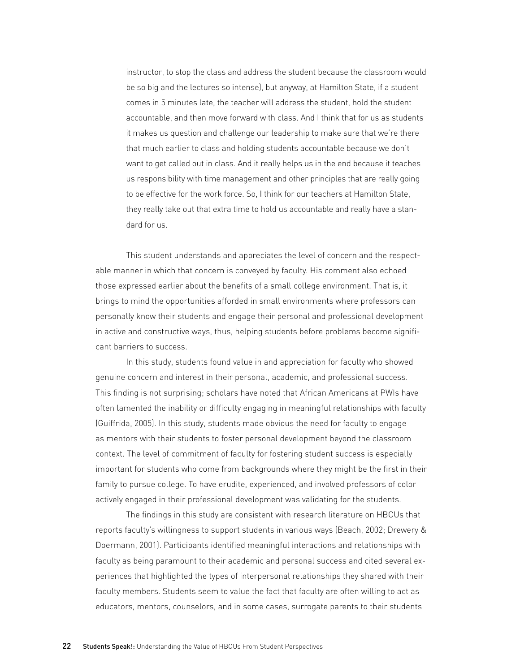instructor, to stop the class and address the student because the classroom would be so big and the lectures so intense), but anyway, at Hamilton State, if a student comes in 5 minutes late, the teacher will address the student, hold the student accountable, and then move forward with class. And I think that for us as students it makes us question and challenge our leadership to make sure that we're there that much earlier to class and holding students accountable because we don't want to get called out in class. And it really helps us in the end because it teaches us responsibility with time management and other principles that are really going to be effective for the work force. So, I think for our teachers at Hamilton State, they really take out that extra time to hold us accountable and really have a standard for us.

This student understands and appreciates the level of concern and the respectable manner in which that concern is conveyed by faculty. His comment also echoed those expressed earlier about the benefits of a small college environment. That is, it brings to mind the opportunities afforded in small environments where professors can personally know their students and engage their personal and professional development in active and constructive ways, thus, helping students before problems become significant barriers to success.

In this study, students found value in and appreciation for faculty who showed genuine concern and interest in their personal, academic, and professional success. This finding is not surprising; scholars have noted that African Americans at PWIs have often lamented the inability or difficulty engaging in meaningful relationships with faculty (Guiffrida, 2005). In this study, students made obvious the need for faculty to engage as mentors with their students to foster personal development beyond the classroom context. The level of commitment of faculty for fostering student success is especially important for students who come from backgrounds where they might be the first in their family to pursue college. To have erudite, experienced, and involved professors of color actively engaged in their professional development was validating for the students.

The findings in this study are consistent with research literature on HBCUs that reports faculty's willingness to support students in various ways (Beach, 2002; Drewery & Doermann, 2001). Participants identified meaningful interactions and relationships with faculty as being paramount to their academic and personal success and cited several experiences that highlighted the types of interpersonal relationships they shared with their faculty members. Students seem to value the fact that faculty are often willing to act as educators, mentors, counselors, and in some cases, surrogate parents to their students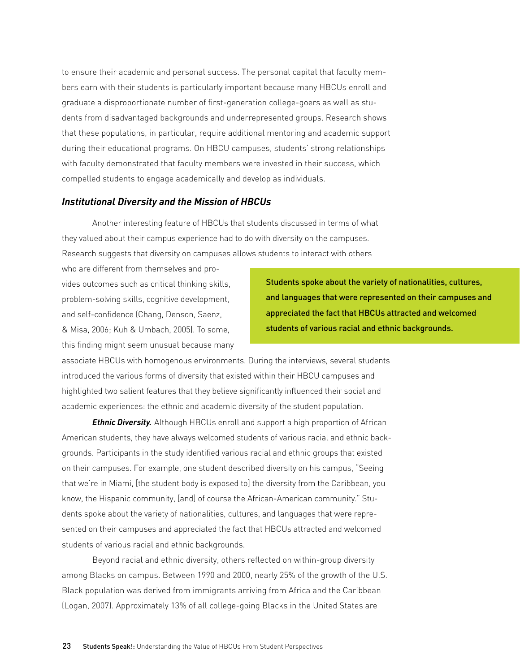to ensure their academic and personal success. The personal capital that faculty members earn with their students is particularly important because many HBCUs enroll and graduate a disproportionate number of first-generation college-goers as well as students from disadvantaged backgrounds and underrepresented groups. Research shows that these populations, in particular, require additional mentoring and academic support during their educational programs. On HBCU campuses, students' strong relationships with faculty demonstrated that faculty members were invested in their success, which compelled students to engage academically and develop as individuals.

#### *Institutional Diversity and the Mission of HBCUs*

Another interesting feature of HBCUs that students discussed in terms of what they valued about their campus experience had to do with diversity on the campuses. Research suggests that diversity on campuses allows students to interact with others

who are different from themselves and provides outcomes such as critical thinking skills, problem-solving skills, cognitive development, and self-confidence (Chang, Denson, Saenz, & Misa, 2006; Kuh & Umbach, 2005). To some, this finding might seem unusual because many

Students spoke about the variety of nationalities, cultures, and languages that were represented on their campuses and appreciated the fact that HBCUs attracted and welcomed students of various racial and ethnic backgrounds.

associate HBCUs with homogenous environments. During the interviews, several students introduced the various forms of diversity that existed within their HBCU campuses and highlighted two salient features that they believe significantly influenced their social and academic experiences: the ethnic and academic diversity of the student population.

**Ethnic Diversity.** Although HBCUs enroll and support a high proportion of African American students, they have always welcomed students of various racial and ethnic backgrounds. Participants in the study identified various racial and ethnic groups that existed on their campuses. For example, one student described diversity on his campus, "Seeing that we're in Miami, [the student body is exposed to] the diversity from the Caribbean, you know, the Hispanic community, [and] of course the African-American community." Students spoke about the variety of nationalities, cultures, and languages that were represented on their campuses and appreciated the fact that HBCUs attracted and welcomed students of various racial and ethnic backgrounds.

Beyond racial and ethnic diversity, others reflected on within-group diversity among Blacks on campus. Between 1990 and 2000, nearly 25% of the growth of the U.S. Black population was derived from immigrants arriving from Africa and the Caribbean (Logan, 2007). Approximately 13% of all college-going Blacks in the United States are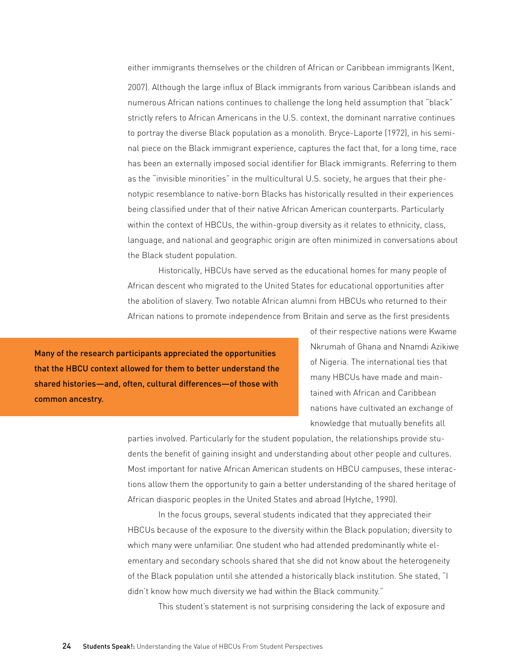either immigrants themselves or the children of African or Caribbean immigrants (Kent, 2007). Although the large influx of Black immigrants from various Caribbean islands and numerous African nations continues to challenge the long held assumption that "black" strictly refers to African Americans in the U.S. context, the dominant narrative continues to portray the diverse Black population as a monolith. Bryce-Laporte (1972), in his seminal piece on the Black immigrant experience, captures the fact that, for a long time, race has been an externally imposed social identifier for Black immigrants. Referring to them as the "invisible minorities" in the multicultural U.S. society, he argues that their phenotypic resemblance to native-born Blacks has historically resulted in their experiences being classified under that of their native African American counterparts. Particularly within the context of HBCUs, the within-group diversity as it relates to ethnicity, class, language, and national and geographic origin are often minimized in conversations about the Black student population.

Historically, HBCUs have served as the educational homes for many people of African descent who migrated to the United States for educational opportunities after the abolition of slavery. Two notable African alumni from HBCUs who returned to their African nations to promote independence from Britain and serve as the first presidents

Many of the research participants appreciated the opportunities that the HBCU context allowed for them to better understand the shared histories—and, often, cultural differences—of those with common ancestry.

of their respective nations were Kwame Nkrumah of Ghana and Nnamdi Azikiwe of Nigeria. The international ties that many HBCUs have made and maintained with African and Caribbean nations have cultivated an exchange of knowledge that mutually benefits all

parties involved. Particularly for the student population, the relationships provide students the benefit of gaining insight and understanding about other people and cultures. Most important for native African American students on HBCU campuses, these interactions allow them the opportunity to gain a better understanding of the shared heritage of African diasporic peoples in the United States and abroad (Hytche, 1990).

In the focus groups, several students indicated that they appreciated their HBCUs because of the exposure to the diversity within the Black population; diversity to which many were unfamiliar. One student who had attended predominantly white elementary and secondary schools shared that she did not know about the heterogeneity of the Black population until she attended a historically black institution. She stated, "I didn't know how much diversity we had within the Black community."

This student's statement is not surprising considering the lack of exposure and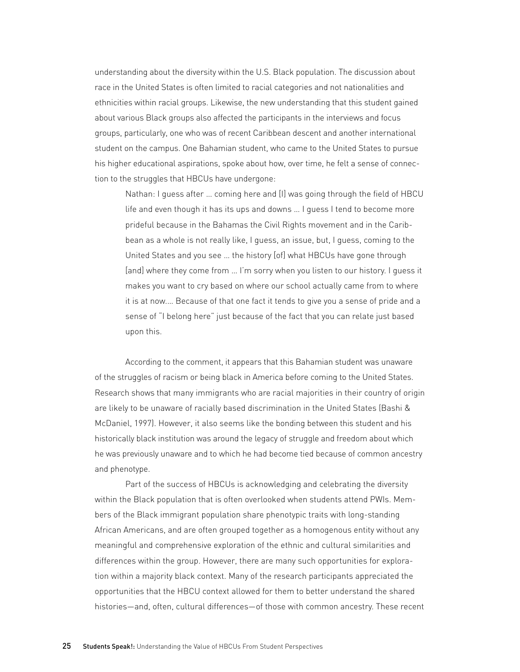understanding about the diversity within the U.S. Black population. The discussion about race in the United States is often limited to racial categories and not nationalities and ethnicities within racial groups. Likewise, the new understanding that this student gained about various Black groups also affected the participants in the interviews and focus groups, particularly, one who was of recent Caribbean descent and another international student on the campus. One Bahamian student, who came to the United States to pursue his higher educational aspirations, spoke about how, over time, he felt a sense of connection to the struggles that HBCUs have undergone:

Nathan: I guess after … coming here and [I] was going through the field of HBCU life and even though it has its ups and downs … I guess I tend to become more prideful because in the Bahamas the Civil Rights movement and in the Caribbean as a whole is not really like, I guess, an issue, but, I guess, coming to the United States and you see … the history [of] what HBCUs have gone through [and] where they come from … I'm sorry when you listen to our history. I guess it makes you want to cry based on where our school actually came from to where it is at now.… Because of that one fact it tends to give you a sense of pride and a sense of "I belong here" just because of the fact that you can relate just based upon this.

According to the comment, it appears that this Bahamian student was unaware of the struggles of racism or being black in America before coming to the United States. Research shows that many immigrants who are racial majorities in their country of origin are likely to be unaware of racially based discrimination in the United States (Bashi & McDaniel, 1997). However, it also seems like the bonding between this student and his historically black institution was around the legacy of struggle and freedom about which he was previously unaware and to which he had become tied because of common ancestry and phenotype.

Part of the success of HBCUs is acknowledging and celebrating the diversity within the Black population that is often overlooked when students attend PWIs. Members of the Black immigrant population share phenotypic traits with long-standing African Americans, and are often grouped together as a homogenous entity without any meaningful and comprehensive exploration of the ethnic and cultural similarities and differences within the group. However, there are many such opportunities for exploration within a majority black context. Many of the research participants appreciated the opportunities that the HBCU context allowed for them to better understand the shared histories—and, often, cultural differences—of those with common ancestry. These recent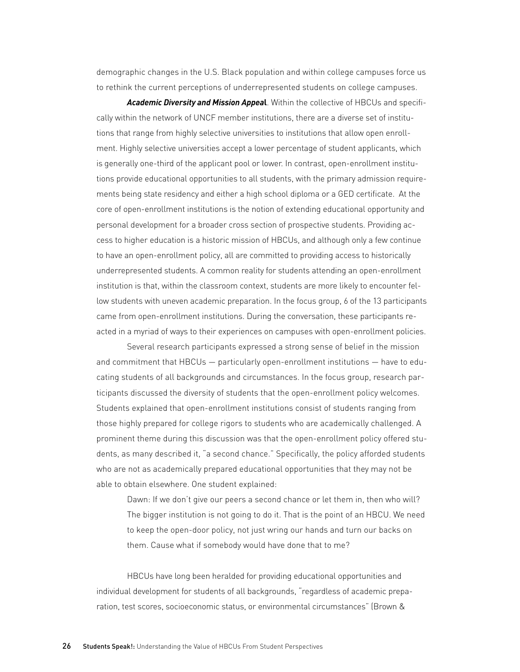demographic changes in the U.S. Black population and within college campuses force us to rethink the current perceptions of underrepresented students on college campuses.

*Academic Diversity and Mission Appea***l**. Within the collective of HBCUs and specifically within the network of UNCF member institutions, there are a diverse set of institutions that range from highly selective universities to institutions that allow open enrollment. Highly selective universities accept a lower percentage of student applicants, which is generally one-third of the applicant pool or lower. In contrast, open-enrollment institutions provide educational opportunities to all students, with the primary admission requirements being state residency and either a high school diploma or a GED certificate. At the core of open-enrollment institutions is the notion of extending educational opportunity and personal development for a broader cross section of prospective students. Providing access to higher education is a historic mission of HBCUs, and although only a few continue to have an open-enrollment policy, all are committed to providing access to historically underrepresented students. A common reality for students attending an open-enrollment institution is that, within the classroom context, students are more likely to encounter fellow students with uneven academic preparation. In the focus group, 6 of the 13 participants came from open-enrollment institutions. During the conversation, these participants reacted in a myriad of ways to their experiences on campuses with open-enrollment policies.

Several research participants expressed a strong sense of belief in the mission and commitment that HBCUs — particularly open-enrollment institutions — have to educating students of all backgrounds and circumstances. In the focus group, research participants discussed the diversity of students that the open-enrollment policy welcomes. Students explained that open-enrollment institutions consist of students ranging from those highly prepared for college rigors to students who are academically challenged. A prominent theme during this discussion was that the open-enrollment policy offered students, as many described it, "a second chance." Specifically, the policy afforded students who are not as academically prepared educational opportunities that they may not be able to obtain elsewhere. One student explained:

Dawn: If we don't give our peers a second chance or let them in, then who will? The bigger institution is not going to do it. That is the point of an HBCU. We need to keep the open-door policy, not just wring our hands and turn our backs on them. Cause what if somebody would have done that to me?

HBCUs have long been heralded for providing educational opportunities and individual development for students of all backgrounds, "regardless of academic preparation, test scores, socioeconomic status, or environmental circumstances" (Brown &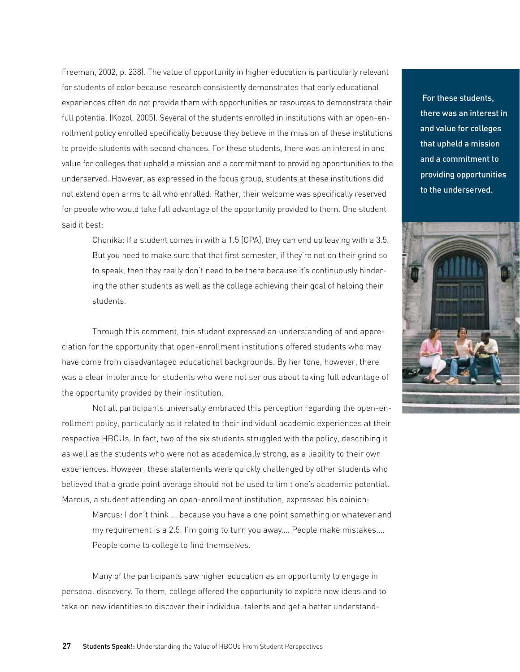Freeman, 2002, p. 238). The value of opportunity in higher education is particularly relevant for students of color because research consistently demonstrates that early educational experiences often do not provide them with opportunities or resources to demonstrate their full potential (Kozol, 2005). Several of the students enrolled in institutions with an open-enrollment policy enrolled specifically because they believe in the mission of these institutions to provide students with second chances. For these students, there was an interest in and value for colleges that upheld a mission and a commitment to providing opportunities to the underserved. However, as expressed in the focus group, students at these institutions did not extend open arms to all who enrolled. Rather, their welcome was specifically reserved for people who would take full advantage of the opportunity provided to them. One student said it best:

Chonika: If a student comes in with a 1.5 [GPA], they can end up leaving with a 3.5. But you need to make sure that that first semester, if they're not on their grind so to speak, then they really don't need to be there because it's continuously hindering the other students as well as the college achieving their goal of helping their students.

Through this comment, this student expressed an understanding of and appreciation for the opportunity that open-enrollment institutions offered students who may have come from disadvantaged educational backgrounds. By her tone, however, there was a clear intolerance for students who were not serious about taking full advantage of the opportunity provided by their institution.

Not all participants universally embraced this perception regarding the open-enrollment policy, particularly as it related to their individual academic experiences at their respective HBCUs. In fact, two of the six students struggled with the policy, describing it as well as the students who were not as academically strong, as a liability to their own experiences. However, these statements were quickly challenged by other students who believed that a grade point average should not be used to limit one's academic potential. Marcus, a student attending an open-enrollment institution, expressed his opinion:

Marcus: I don't think … because you have a one point something or whatever and my requirement is a 2.5, I'm going to turn you away.… People make mistakes.… People come to college to find themselves.

Many of the participants saw higher education as an opportunity to engage in personal discovery. To them, college offered the opportunity to explore new ideas and to take on new identities to discover their individual talents and get a better understand-

 For these students, there was an interest in and value for colleges that upheld a mission and a commitment to providing opportunities to the underserved.

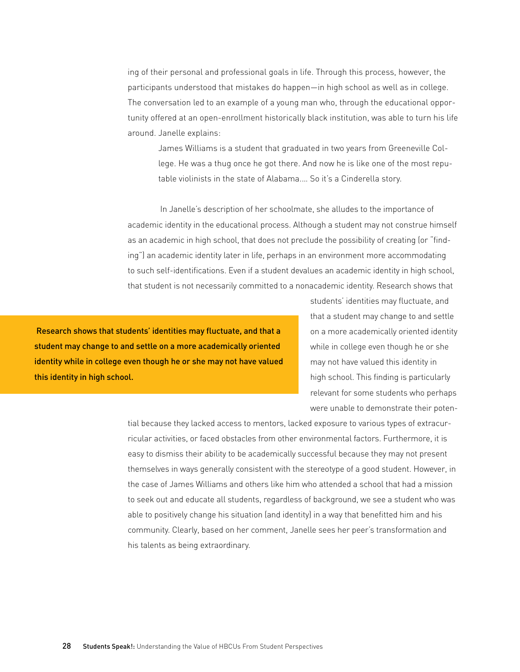ing of their personal and professional goals in life. Through this process, however, the participants understood that mistakes do happen—in high school as well as in college. The conversation led to an example of a young man who, through the educational opportunity offered at an open-enrollment historically black institution, was able to turn his life around. Janelle explains:

James Williams is a student that graduated in two years from Greeneville College. He was a thug once he got there. And now he is like one of the most reputable violinists in the state of Alabama.… So it's a Cinderella story.

 In Janelle's description of her schoolmate, she alludes to the importance of academic identity in the educational process. Although a student may not construe himself as an academic in high school, that does not preclude the possibility of creating (or "finding") an academic identity later in life, perhaps in an environment more accommodating to such self-identifications. Even if a student devalues an academic identity in high school, that student is not necessarily committed to a nonacademic identity. Research shows that

 Research shows that students' identities may fluctuate, and that a student may change to and settle on a more academically oriented identity while in college even though he or she may not have valued this identity in high school.

students' identities may fluctuate, and that a student may change to and settle on a more academically oriented identity while in college even though he or she may not have valued this identity in high school. This finding is particularly relevant for some students who perhaps were unable to demonstrate their poten-

tial because they lacked access to mentors, lacked exposure to various types of extracurricular activities, or faced obstacles from other environmental factors. Furthermore, it is easy to dismiss their ability to be academically successful because they may not present themselves in ways generally consistent with the stereotype of a good student. However, in the case of James Williams and others like him who attended a school that had a mission to seek out and educate all students, regardless of background, we see a student who was able to positively change his situation (and identity) in a way that benefitted him and his community. Clearly, based on her comment, Janelle sees her peer's transformation and his talents as being extraordinary.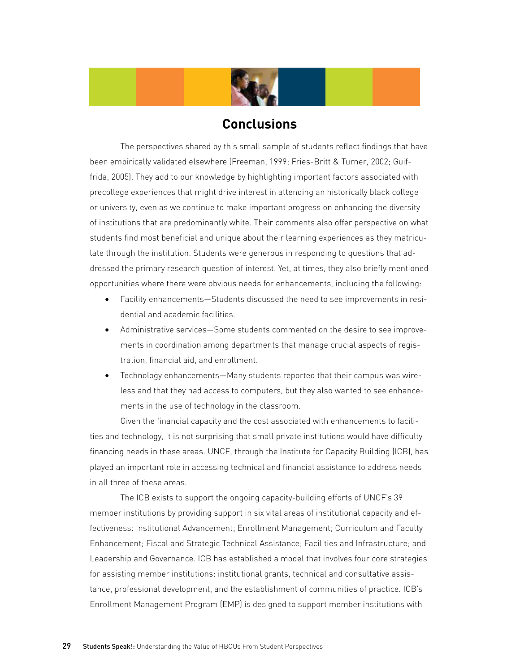

# **Conclusions**

The perspectives shared by this small sample of students reflect findings that have been empirically validated elsewhere (Freeman, 1999; Fries-Britt & Turner, 2002; Guiffrida, 2005). They add to our knowledge by highlighting important factors associated with precollege experiences that might drive interest in attending an historically black college or university, even as we continue to make important progress on enhancing the diversity of institutions that are predominantly white. Their comments also offer perspective on what students find most beneficial and unique about their learning experiences as they matriculate through the institution. Students were generous in responding to questions that addressed the primary research question of interest. Yet, at times, they also briefly mentioned opportunities where there were obvious needs for enhancements, including the following:

- Facility enhancements—Students discussed the need to see improvements in residential and academic facilities.
- Administrative services—Some students commented on the desire to see improvements in coordination among departments that manage crucial aspects of registration, financial aid, and enrollment.
- Technology enhancements—Many students reported that their campus was wireless and that they had access to computers, but they also wanted to see enhancements in the use of technology in the classroom.

Given the financial capacity and the cost associated with enhancements to facilities and technology, it is not surprising that small private institutions would have difficulty financing needs in these areas. UNCF, through the Institute for Capacity Building (ICB), has played an important role in accessing technical and financial assistance to address needs in all three of these areas.

The ICB exists to support the ongoing capacity-building efforts of UNCF's 39 member institutions by providing support in six vital areas of institutional capacity and effectiveness: Institutional Advancement; Enrollment Management; Curriculum and Faculty Enhancement; Fiscal and Strategic Technical Assistance; Facilities and Infrastructure; and Leadership and Governance. ICB has established a model that involves four core strategies for assisting member institutions: institutional grants, technical and consultative assistance, professional development, and the establishment of communities of practice. ICB's Enrollment Management Program (EMP) is designed to support member institutions with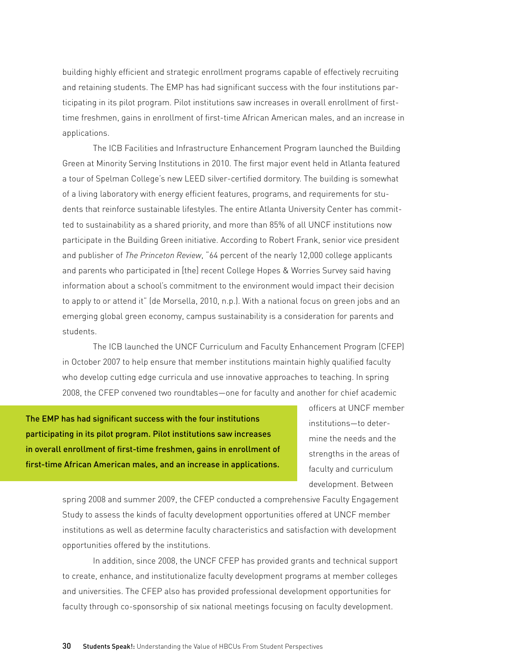building highly efficient and strategic enrollment programs capable of effectively recruiting and retaining students. The EMP has had significant success with the four institutions participating in its pilot program. Pilot institutions saw increases in overall enrollment of firsttime freshmen, gains in enrollment of first-time African American males, and an increase in applications.

The ICB Facilities and Infrastructure Enhancement Program launched the Building Green at Minority Serving Institutions in 2010. The first major event held in Atlanta featured a tour of Spelman College's new LEED silver-certified dormitory. The building is somewhat of a living laboratory with energy efficient features, programs, and requirements for students that reinforce sustainable lifestyles. The entire Atlanta University Center has committed to sustainability as a shared priority, and more than 85% of all UNCF institutions now participate in the Building Green initiative. According to Robert Frank, senior vice president and publisher of *The Princeton Review*, "64 percent of the nearly 12,000 college applicants and parents who participated in [the] recent College Hopes & Worries Survey said having information about a school's commitment to the environment would impact their decision to apply to or attend it" (de Morsella, 2010, n.p.). With a national focus on green jobs and an emerging global green economy, campus sustainability is a consideration for parents and students.

The ICB launched the UNCF Curriculum and Faculty Enhancement Program (CFEP) in October 2007 to help ensure that member institutions maintain highly qualified faculty who develop cutting edge curricula and use innovative approaches to teaching. In spring 2008, the CFEP convened two roundtables—one for faculty and another for chief academic

The EMP has had significant success with the four institutions participating in its pilot program. Pilot institutions saw increases in overall enrollment of first-time freshmen, gains in enrollment of first-time African American males, and an increase in applications.

officers at UNCF member institutions—to determine the needs and the strengths in the areas of faculty and curriculum development. Between

spring 2008 and summer 2009, the CFEP conducted a comprehensive Faculty Engagement Study to assess the kinds of faculty development opportunities offered at UNCF member institutions as well as determine faculty characteristics and satisfaction with development opportunities offered by the institutions.

In addition, since 2008, the UNCF CFEP has provided grants and technical support to create, enhance, and institutionalize faculty development programs at member colleges and universities. The CFEP also has provided professional development opportunities for faculty through co-sponsorship of six national meetings focusing on faculty development.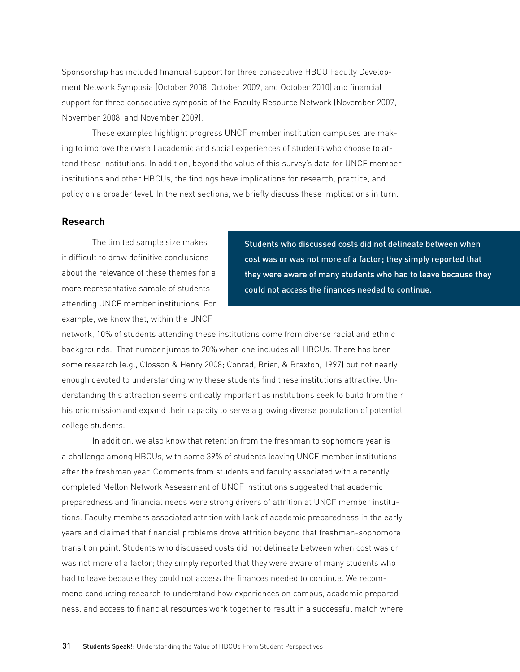Sponsorship has included financial support for three consecutive HBCU Faculty Development Network Symposia (October 2008, October 2009, and October 2010) and financial support for three consecutive symposia of the Faculty Resource Network (November 2007, November 2008, and November 2009).

These examples highlight progress UNCF member institution campuses are making to improve the overall academic and social experiences of students who choose to attend these institutions. In addition, beyond the value of this survey's data for UNCF member institutions and other HBCUs, the findings have implications for research, practice, and policy on a broader level. In the next sections, we briefly discuss these implications in turn.

#### **Research**

The limited sample size makes it difficult to draw definitive conclusions about the relevance of these themes for a more representative sample of students attending UNCF member institutions. For example, we know that, within the UNCF

Students who discussed costs did not delineate between when cost was or was not more of a factor; they simply reported that they were aware of many students who had to leave because they could not access the finances needed to continue.

network, 10% of students attending these institutions come from diverse racial and ethnic backgrounds. That number jumps to 20% when one includes all HBCUs. There has been some research (e.g., Closson & Henry 2008; Conrad, Brier, & Braxton, 1997) but not nearly enough devoted to understanding why these students find these institutions attractive. Understanding this attraction seems critically important as institutions seek to build from their historic mission and expand their capacity to serve a growing diverse population of potential college students.

In addition, we also know that retention from the freshman to sophomore year is a challenge among HBCUs, with some 39% of students leaving UNCF member institutions after the freshman year. Comments from students and faculty associated with a recently completed Mellon Network Assessment of UNCF institutions suggested that academic preparedness and financial needs were strong drivers of attrition at UNCF member institutions. Faculty members associated attrition with lack of academic preparedness in the early years and claimed that financial problems drove attrition beyond that freshman-sophomore transition point. Students who discussed costs did not delineate between when cost was or was not more of a factor; they simply reported that they were aware of many students who had to leave because they could not access the finances needed to continue. We recommend conducting research to understand how experiences on campus, academic preparedness, and access to financial resources work together to result in a successful match where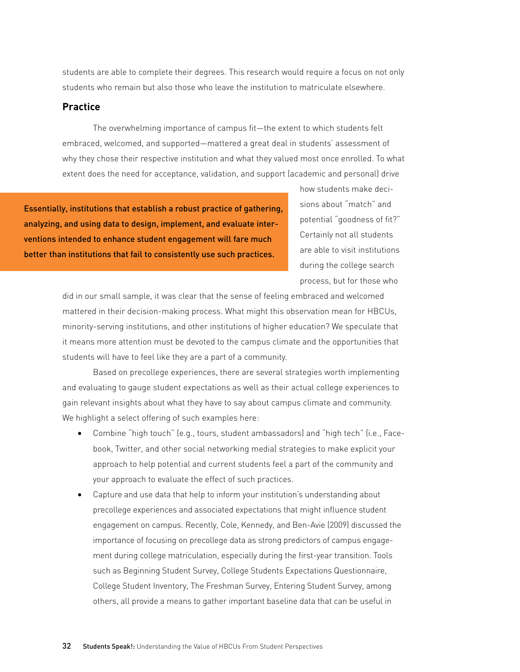students are able to complete their degrees. This research would require a focus on not only students who remain but also those who leave the institution to matriculate elsewhere.

### **Practice**

The overwhelming importance of campus fit—the extent to which students felt embraced, welcomed, and supported—mattered a great deal in students' assessment of why they chose their respective institution and what they valued most once enrolled. To what extent does the need for acceptance, validation, and support (academic and personal) drive

Essentially, institutions that establish a robust practice of gathering, analyzing, and using data to design, implement, and evaluate interventions intended to enhance student engagement will fare much better than institutions that fail to consistently use such practices.

how students make decisions about "match" and potential "goodness of fit?" Certainly not all students are able to visit institutions during the college search process, but for those who

did in our small sample, it was clear that the sense of feeling embraced and welcomed mattered in their decision-making process. What might this observation mean for HBCUs, minority-serving institutions, and other institutions of higher education? We speculate that it means more attention must be devoted to the campus climate and the opportunities that students will have to feel like they are a part of a community.

Based on precollege experiences, there are several strategies worth implementing and evaluating to gauge student expectations as well as their actual college experiences to gain relevant insights about what they have to say about campus climate and community. We highlight a select offering of such examples here:

- • Combine "high touch" (e.g., tours, student ambassadors) and "high tech" (i.e., Facebook, Twitter, and other social networking media) strategies to make explicit your approach to help potential and current students feel a part of the community and your approach to evaluate the effect of such practices.
- Capture and use data that help to inform your institution's understanding about precollege experiences and associated expectations that might influence student engagement on campus. Recently, Cole, Kennedy, and Ben-Avie (2009) discussed the importance of focusing on precollege data as strong predictors of campus engagement during college matriculation, especially during the first-year transition. Tools such as Beginning Student Survey, College Students Expectations Questionnaire, College Student Inventory, The Freshman Survey, Entering Student Survey, among others, all provide a means to gather important baseline data that can be useful in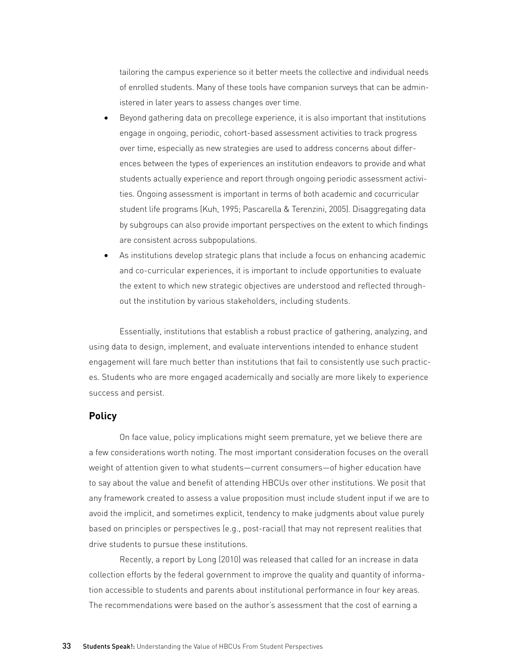tailoring the campus experience so it better meets the collective and individual needs of enrolled students. Many of these tools have companion surveys that can be administered in later years to assess changes over time.

- Beyond gathering data on precollege experience, it is also important that institutions engage in ongoing, periodic, cohort-based assessment activities to track progress over time, especially as new strategies are used to address concerns about differences between the types of experiences an institution endeavors to provide and what students actually experience and report through ongoing periodic assessment activities. Ongoing assessment is important in terms of both academic and cocurricular student life programs (Kuh, 1995; Pascarella & Terenzini, 2005). Disaggregating data by subgroups can also provide important perspectives on the extent to which findings are consistent across subpopulations.
- • As institutions develop strategic plans that include a focus on enhancing academic and co-curricular experiences, it is important to include opportunities to evaluate the extent to which new strategic objectives are understood and reflected throughout the institution by various stakeholders, including students.

Essentially, institutions that establish a robust practice of gathering, analyzing, and using data to design, implement, and evaluate interventions intended to enhance student engagement will fare much better than institutions that fail to consistently use such practices. Students who are more engaged academically and socially are more likely to experience success and persist.

#### **Policy**

On face value, policy implications might seem premature, yet we believe there are a few considerations worth noting. The most important consideration focuses on the overall weight of attention given to what students—current consumers—of higher education have to say about the value and benefit of attending HBCUs over other institutions. We posit that any framework created to assess a value proposition must include student input if we are to avoid the implicit, and sometimes explicit, tendency to make judgments about value purely based on principles or perspectives (e.g., post-racial) that may not represent realities that drive students to pursue these institutions.

Recently, a report by Long (2010) was released that called for an increase in data collection efforts by the federal government to improve the quality and quantity of information accessible to students and parents about institutional performance in four key areas. The recommendations were based on the author's assessment that the cost of earning a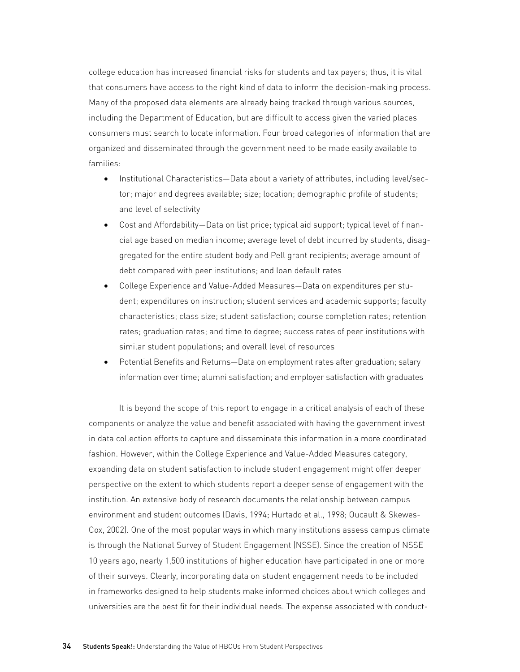college education has increased financial risks for students and tax payers; thus, it is vital that consumers have access to the right kind of data to inform the decision-making process. Many of the proposed data elements are already being tracked through various sources, including the Department of Education, but are difficult to access given the varied places consumers must search to locate information. Four broad categories of information that are organized and disseminated through the government need to be made easily available to families:

- Institutional Characteristics—Data about a variety of attributes, including level/sector; major and degrees available; size; location; demographic profile of students; and level of selectivity
- Cost and Affordability—Data on list price; typical aid support; typical level of financial age based on median income; average level of debt incurred by students, disaggregated for the entire student body and Pell grant recipients; average amount of debt compared with peer institutions; and loan default rates
- • College Experience and Value-Added Measures—Data on expenditures per student; expenditures on instruction; student services and academic supports; faculty characteristics; class size; student satisfaction; course completion rates; retention rates; graduation rates; and time to degree; success rates of peer institutions with similar student populations; and overall level of resources
- Potential Benefits and Returns—Data on employment rates after graduation; salary information over time; alumni satisfaction; and employer satisfaction with graduates

 It is beyond the scope of this report to engage in a critical analysis of each of these components or analyze the value and benefit associated with having the government invest in data collection efforts to capture and disseminate this information in a more coordinated fashion. However, within the College Experience and Value-Added Measures category, expanding data on student satisfaction to include student engagement might offer deeper perspective on the extent to which students report a deeper sense of engagement with the institution. An extensive body of research documents the relationship between campus environment and student outcomes (Davis, 1994; Hurtado et al., 1998; Oucault & Skewes-Cox, 2002). One of the most popular ways in which many institutions assess campus climate is through the National Survey of Student Engagement (NSSE). Since the creation of NSSE 10 years ago, nearly 1,500 institutions of higher education have participated in one or more of their surveys. Clearly, incorporating data on student engagement needs to be included in frameworks designed to help students make informed choices about which colleges and universities are the best fit for their individual needs. The expense associated with conduct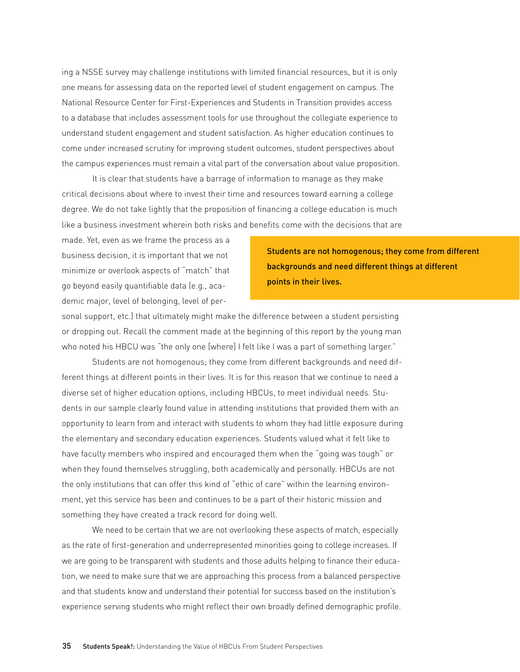ing a NSSE survey may challenge institutions with limited financial resources, but it is only one means for assessing data on the reported level of student engagement on campus. The National Resource Center for First-Experiences and Students in Transition provides access to a database that includes assessment tools for use throughout the collegiate experience to understand student engagement and student satisfaction. As higher education continues to come under increased scrutiny for improving student outcomes, student perspectives about the campus experiences must remain a vital part of the conversation about value proposition.

It is clear that students have a barrage of information to manage as they make critical decisions about where to invest their time and resources toward earning a college degree. We do not take lightly that the proposition of financing a college education is much like a business investment wherein both risks and benefits come with the decisions that are

made. Yet, even as we frame the process as a business decision, it is important that we not minimize or overlook aspects of "match" that go beyond easily quantifiable data (e.g., academic major, level of belonging, level of per-

Students are not homogenous; they come from different backgrounds and need different things at different points in their lives.

sonal support, etc.) that ultimately might make the difference between a student persisting or dropping out. Recall the comment made at the beginning of this report by the young man who noted his HBCU was "the only one [where] I felt like I was a part of something larger."

Students are not homogenous; they come from different backgrounds and need different things at different points in their lives. It is for this reason that we continue to need a diverse set of higher education options, including HBCUs, to meet individual needs. Students in our sample clearly found value in attending institutions that provided them with an opportunity to learn from and interact with students to whom they had little exposure during the elementary and secondary education experiences. Students valued what it felt like to have faculty members who inspired and encouraged them when the "going was tough" or when they found themselves struggling, both academically and personally. HBCUs are not the only institutions that can offer this kind of "ethic of care" within the learning environment, yet this service has been and continues to be a part of their historic mission and something they have created a track record for doing well.

We need to be certain that we are not overlooking these aspects of match, especially as the rate of first-generation and underrepresented minorities going to college increases. If we are going to be transparent with students and those adults helping to finance their education, we need to make sure that we are approaching this process from a balanced perspective and that students know and understand their potential for success based on the institution's experience serving students who might reflect their own broadly defined demographic profile.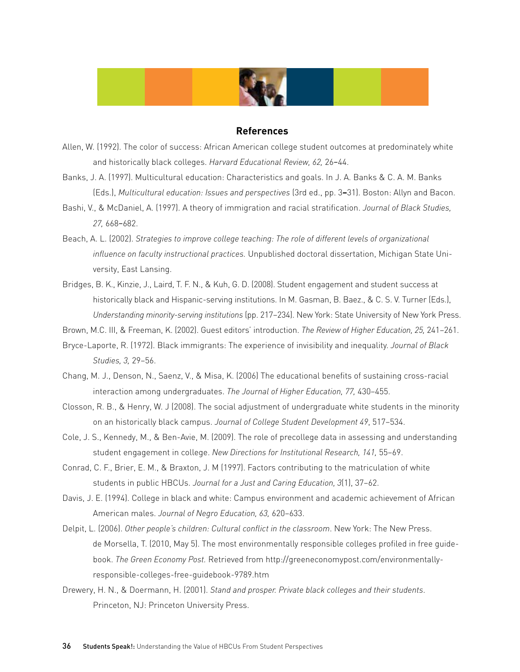

#### **References**

- Allen, W. (1992). The color of success: African American college student outcomes at predominately white and historically black colleges. *Harvard Educational Review, 62,* 26–44.
- Banks, J. A. (1997). Multicultural education: Characteristics and goals. In J. A. Banks & C. A. M. Banks (Eds.), *Multicultural education: Issues and perspectives* (3rd ed., pp. 3**–**31). Boston: Allyn and Bacon.
- Bashi, V., & McDaniel, A. (1997). A theory of immigration and racial stratification. *Journal of Black Studies, 27,* 668–682.
- Beach, A. L. (2002). *Strategies to improve college teaching: The role of different levels of organizational influence on faculty instructional practices.* Unpublished doctoral dissertation, Michigan State University, East Lansing.
- Bridges, B. K., Kinzie, J., Laird, T. F. N., & Kuh, G. D. (2008). Student engagement and student success at historically black and Hispanic-serving institutions. In M. Gasman, B. Baez., & C. S. V. Turner (Eds.), *Understanding minority-serving institutions* (pp. 217–234). New York: State University of New York Press.
- Brown, M.C. III, & Freeman, K. (2002). Guest editors' introduction. *The Review of Higher Education, 25,* 241–261.
- Bryce-Laporte, R. (1972). Black immigrants: The experience of invisibility and inequality. *Journal of Black Studies, 3,* 29–56.
- Chang, M. J., Denson, N., Saenz, V., & Misa, K. (2006) The educational benefits of sustaining cross-racial interaction among undergraduates. *The Journal of Higher Education, 77,* 430–455.
- Closson, R. B., & Henry, W. J (2008). The social adjustment of undergraduate white students in the minority on an historically black campus. *Journal of College Student Development 49*, 517–534.
- Cole, J. S., Kennedy, M., & Ben-Avie, M. (2009). The role of precollege data in assessing and understanding student engagement in college. *New Directions for Institutional Research, 141,* 55–69.
- Conrad, C. F., Brier, E. M., & Braxton, J. M (1997). Factors contributing to the matriculation of white students in public HBCUs. *Journal for a Just and Caring Education, 3*(1), 37–62.
- Davis, J. E. (1994). College in black and white: Campus environment and academic achievement of African American males. *Journal of Negro Education, 63,* 620–633.
- Delpit, L. (2006). *Other people's children: Cultural conflict in the classroom*. New York: The New Press. de Morsella, T. (2010, May 5). The most environmentally responsible colleges profiled in free guidebook. *The Green Economy Post.* Retrieved from http://greeneconomypost.com/environmentallyresponsible-colleges-free-guidebook-9789.htm
- Drewery, H. N., & Doermann, H. (2001). *Stand and prosper. Private black colleges and their students*. Princeton, NJ: Princeton University Press.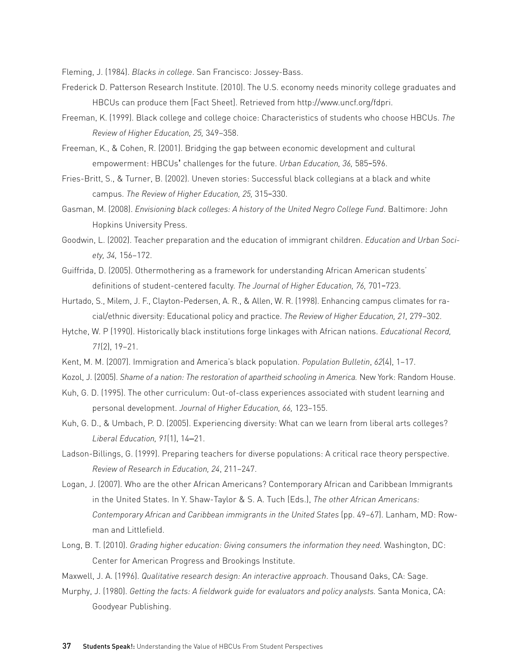Fleming, J. (1984). *Blacks in college*. San Francisco: Jossey-Bass.

- Frederick D. Patterson Research Institute. (2010). The U.S. economy needs minority college graduates and HBCUs can produce them [Fact Sheet]. Retrieved from http://www.uncf.org/fdpri.
- Freeman, K. (1999). Black college and college choice: Characteristics of students who choose HBCUs. *The Review of Higher Education, 25,* 349–358.
- Freeman, K., & Cohen, R. (2001). Bridging the gap between economic development and cultural empowerment: HBCUs' challenges for the future. *Urban Education, 36,* 585–596.
- Fries-Britt, S., & Turner, B. (2002). Uneven stories: Successful black collegians at a black and white campus. *The Review of Higher Education, 25,* 315–330.
- Gasman, M. (2008). *Envisioning black colleges: A history of the United Negro College Fund*. Baltimore: John Hopkins University Press.
- Goodwin, L. (2002). Teacher preparation and the education of immigrant children. *Education and Urban Society, 34,* 156–172.
- Guiffrida, D. (2005). Othermothering as a framework for understanding African American students' definitions of student-centered faculty. *The Journal of Higher Education, 76,* 701–723.
- Hurtado, S., Milem, J. F., Clayton-Pedersen, A. R., & Allen, W. R. (1998). Enhancing campus climates for racial/ethnic diversity: Educational policy and practice. *The Review of Higher Education, 21,* 279–302.
- Hytche, W. P (1990). Historically black institutions forge linkages with African nations. *Educational Record, 71*(2), 19–21.
- Kent, M. M. (2007). Immigration and America's black population. *Population Bulletin*, *62*(4), 1–17.
- Kozol, J. (2005). *Shame of a nation: The restoration of apartheid schooling in America.* New York: Random House.
- Kuh, G. D. (1995). The other curriculum: Out-of-class experiences associated with student learning and personal development. *Journal of Higher Education, 66,* 123–155.
- Kuh, G. D., & Umbach, P. D. (2005). Experiencing diversity: What can we learn from liberal arts colleges? *Liberal Education, 91*(1), 14–21.
- Ladson-Billings, G. (1999). Preparing teachers for diverse populations: A critical race theory perspective. *Review of Research in Education, 24*, 211–247.
- Logan, J. (2007). Who are the other African Americans? Contemporary African and Caribbean Immigrants in the United States. In Y. Shaw-Taylor & S. A. Tuch (Eds.), *The other African Americans: Contemporary African and Caribbean immigrants in the United States* (pp. 49–67). Lanham, MD: Rowman and Littlefield.
- Long, B. T. (2010). *Grading higher education: Giving consumers the information they need.* Washington, DC: Center for American Progress and Brookings Institute.
- Maxwell, J. A. (1996). *Qualitative research design: An interactive approach*. Thousand Oaks, CA: Sage.
- Murphy, J. (1980). *Getting the facts: A fieldwork guide for evaluators and policy analysts.* Santa Monica, CA: Goodyear Publishing.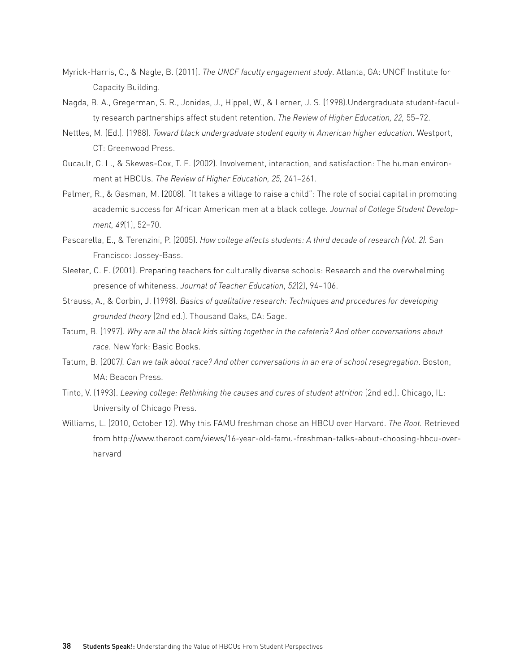- Myrick-Harris, C., & Nagle, B. (2011). *The UNCF faculty engagement study*. Atlanta, GA: UNCF Institute for Capacity Building.
- Nagda, B. A., Gregerman, S. R., Jonides, J., Hippel, W., & Lerner, J. S. (1998).Undergraduate student-faculty research partnerships affect student retention. *The Review of Higher Education, 22,* 55–72.
- Nettles, M. (Ed.). (1988). *Toward black undergraduate student equity in American higher education*. Westport, CT: Greenwood Press.
- Oucault, C. L., & Skewes-Cox, T. E. (2002). Involvement, interaction, and satisfaction: The human environment at HBCUs. *The Review of Higher Education, 25,* 241–261.
- Palmer, R., & Gasman, M. (2008). "It takes a village to raise a child": The role of social capital in promoting academic success for African American men at a black college*. Journal of College Student Development, 49*(1), 52–70.
- Pascarella, E., & Terenzini, P. (2005). *How college affects students: A third decade of research (Vol. 2)*. San Francisco: Jossey-Bass.
- Sleeter, C. E. (2001). Preparing teachers for culturally diverse schools: Research and the overwhelming presence of whiteness. *Journal of Teacher Education*, *52*(2), 94–106.
- Strauss, A., & Corbin, J. (1998). *Basics of qualitative research: Techniques and procedures for developing grounded theory* (2nd ed.). Thousand Oaks, CA: Sage.
- Tatum, B. (1997). *Why are all the black kids sitting together in the cafeteria? And other conversations about race.* New York: Basic Books.
- Tatum, B. (2007*). Can we talk about race? And other conversations in an era of school resegregation*. Boston, MA: Beacon Press.
- Tinto, V. (1993). *Leaving college: Rethinking the causes and cures of student attrition* (2nd ed.). Chicago, IL: University of Chicago Press.
- Williams, L. (2010, October 12). Why this FAMU freshman chose an HBCU over Harvard. *The Root.* Retrieved from http://www.theroot.com/views/16-year-old-famu-freshman-talks-about-choosing-hbcu-overharvard